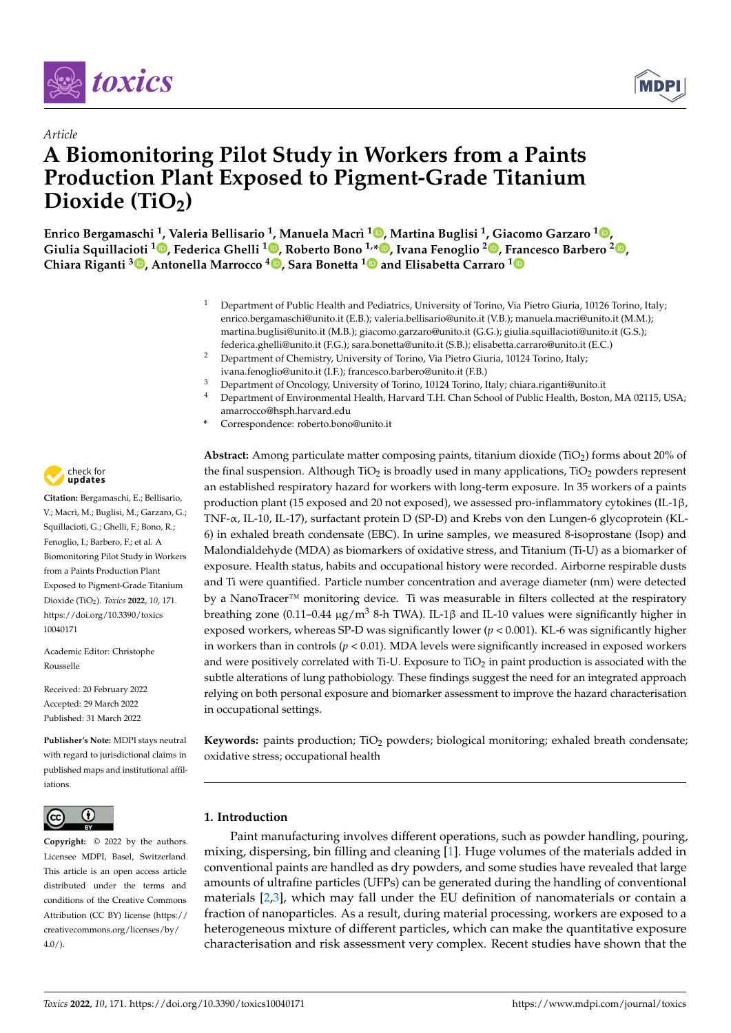



# *Article* **A Biomonitoring Pilot Study in Workers from a Paints Production Plant Exposed to Pigment-Grade Titanium Dioxide (TiO2)**

**Enrico Bergamaschi <sup>1</sup> , Valeria Bellisario <sup>1</sup> , Manuela Macrì 1 [,](https://orcid.org/0000-0001-5280-4703) Martina Buglisi <sup>1</sup> , Giacomo Garzaro <sup>1</sup> [,](https://orcid.org/0000-0001-8657-8142) Giulia Squillacioti [1](https://orcid.org/0000-0002-0655-7550) , Federica Ghelli <sup>1</sup> [,](https://orcid.org/0000-0003-2605-3293) Roberto Bono 1,[\\*](https://orcid.org/0000-0003-2441-8295) [,](https://orcid.org/0000-0002-2471-6594) Ivana Fenoglio [2](https://orcid.org/0000-0002-6946-3105) , F[ran](https://orcid.org/0000-0002-9811-6372)cesco Barbero <sup>2</sup> [,](https://orcid.org/0000-0001-8704-0651) Chiara Riganti <sup>3</sup> [,](https://orcid.org/0000-0001-9787-4836) Antonella Marrocco <sup>4</sup> [,](https://orcid.org/0000-0002-6515-1980) Sara Bonetta <sup>1</sup> and Elisabetta Carraro <sup>1</sup>**

- <sup>1</sup> Department of Public Health and Pediatrics, University of Torino, Via Pietro Giuria, 10126 Torino, Italy; enrico.bergamaschi@unito.it (E.B.); valeria.bellisario@unito.it (V.B.); manuela.macri@unito.it (M.M.); martina.buglisi@unito.it (M.B.); giacomo.garzaro@unito.it (G.G.); giulia.squillacioti@unito.it (G.S.); federica.ghelli@unito.it (F.G.); sara.bonetta@unito.it (S.B.); elisabetta.carraro@unito.it (E.C.)
- <sup>2</sup> Department of Chemistry, University of Torino, Via Pietro Giuria, 10124 Torino, Italy; ivana.fenoglio@unito.it (I.F.); francesco.barbero@unito.it (F.B.)
- 
- <sup>3</sup> Department of Oncology, University of Torino, 10124 Torino, Italy; chiara.riganti@unito.it<br><sup>4</sup> Department of Environmental Health Harvard T.H. Chan School of Public Health Boston Department of Environmental Health, Harvard T.H. Chan School of Public Health, Boston, MA 02115, USA; amarrocco@hsph.harvard.edu
- **\*** Correspondence: roberto.bono@unito.it

**Abstract:** Among particulate matter composing paints, titanium dioxide (TiO<sup>2</sup> ) forms about 20% of the final suspension. Although TiO<sub>2</sub> is broadly used in many applications, TiO<sub>2</sub> powders represent an established respiratory hazard for workers with long-term exposure. In 35 workers of a paints production plant (15 exposed and 20 not exposed), we assessed pro-inflammatory cytokines (IL-1β, TNF-α, IL-10, IL-17), surfactant protein D (SP-D) and Krebs von den Lungen-6 glycoprotein (KL-6) in exhaled breath condensate (EBC). In urine samples, we measured 8-isoprostane (Isop) and Malondialdehyde (MDA) as biomarkers of oxidative stress, and Titanium (Ti-U) as a biomarker of exposure. Health status, habits and occupational history were recorded. Airborne respirable dusts and Ti were quantified. Particle number concentration and average diameter (nm) were detected by a NanoTracer™ monitoring device. Ti was measurable in filters collected at the respiratory breathing zone (0.11–0.44 μg/m<sup>3</sup> 8-h TWA). IL-1β and IL-10 values were significantly higher in exposed workers, whereas SP-D was significantly lower  $(p < 0.001)$ . KL-6 was significantly higher in workers than in controls ( $p < 0.01$ ). MDA levels were significantly increased in exposed workers and were positively correlated with Ti-U. Exposure to TiO $_2$  in paint production is associated with the subtle alterations of lung pathobiology. These findings suggest the need for an integrated approach relying on both personal exposure and biomarker assessment to improve the hazard characterisation in occupational settings.

**Keywords:** paints production; TiO<sub>2</sub> powders; biological monitoring; exhaled breath condensate; oxidative stress; occupational health

## **1. Introduction**

Paint manufacturing involves different operations, such as powder handling, pouring, mixing, dispersing, bin filling and cleaning [\[1\]](#page-15-0). Huge volumes of the materials added in conventional paints are handled as dry powders, and some studies have revealed that large amounts of ultrafine particles (UFPs) can be generated during the handling of conventional materials [\[2](#page-15-1)[,3\]](#page-15-2), which may fall under the EU definition of nanomaterials or contain a fraction of nanoparticles. As a result, during material processing, workers are exposed to a heterogeneous mixture of different particles, which can make the quantitative exposure characterisation and risk assessment very complex. Recent studies have shown that the



**Citation:** Bergamaschi, E.; Bellisario, V.; Macrì, M.; Buglisi, M.; Garzaro, G.; Squillacioti, G.; Ghelli, F.; Bono, R.; Fenoglio, I.; Barbero, F.; et al. A Biomonitoring Pilot Study in Workers from a Paints Production Plant Exposed to Pigment-Grade Titanium Dioxide (TiO2). *Toxics* **2022**, *10*, 171. [https://doi.org/10.3390/toxics](https://doi.org/10.3390/toxics10040171) [10040171](https://doi.org/10.3390/toxics10040171)

Academic Editor: Christophe Rousselle

Received: 20 February 2022 Accepted: 29 March 2022 Published: 31 March 2022

**Publisher's Note:** MDPI stays neutral with regard to jurisdictional claims in published maps and institutional affiliations.



**Copyright:** © 2022 by the authors. Licensee MDPI, Basel, Switzerland. This article is an open access article distributed under the terms and conditions of the Creative Commons Attribution (CC BY) license [\(https://](https://creativecommons.org/licenses/by/4.0/) [creativecommons.org/licenses/by/](https://creativecommons.org/licenses/by/4.0/)  $4.0/$ ).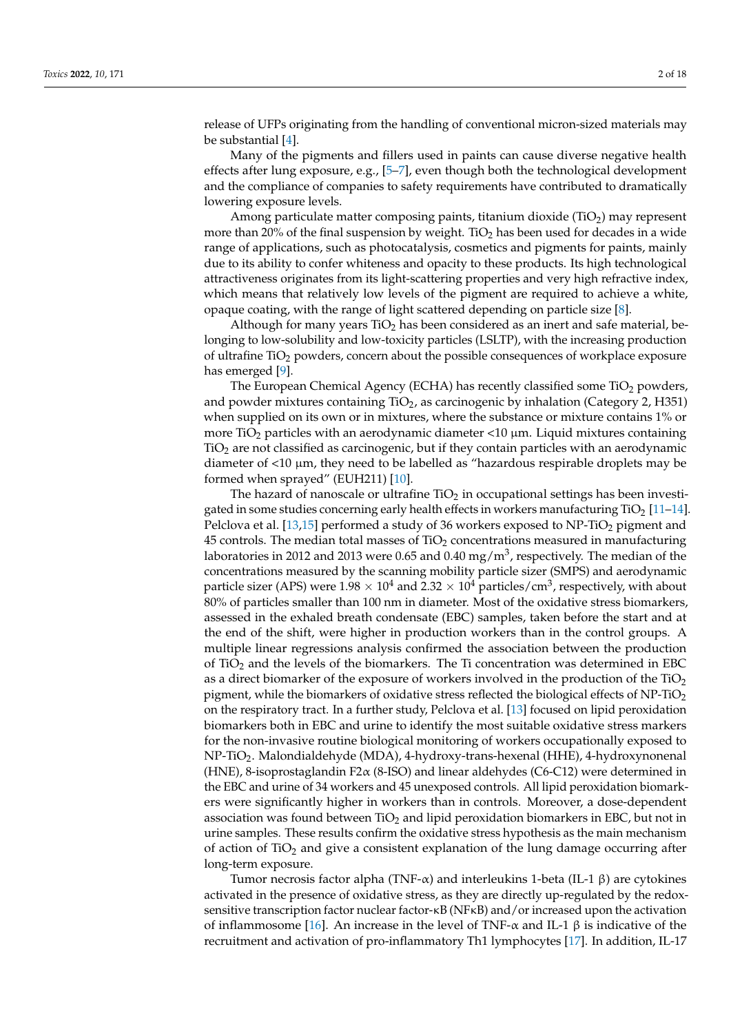release of UFPs originating from the handling of conventional micron-sized materials may be substantial [\[4\]](#page-15-3).

Many of the pigments and fillers used in paints can cause diverse negative health effects after lung exposure, e.g.,  $[5-7]$  $[5-7]$ , even though both the technological development and the compliance of companies to safety requirements have contributed to dramatically lowering exposure levels.

Among particulate matter composing paints, titanium dioxide (TiO2) may represent more than 20% of the final suspension by weight. TiO<sub>2</sub> has been used for decades in a wide range of applications, such as photocatalysis, cosmetics and pigments for paints, mainly due to its ability to confer whiteness and opacity to these products. Its high technological attractiveness originates from its light-scattering properties and very high refractive index, which means that relatively low levels of the pigment are required to achieve a white, opaque coating, with the range of light scattered depending on particle size [\[8\]](#page-15-6).

Although for many years  $TiO<sub>2</sub>$  has been considered as an inert and safe material, belonging to low-solubility and low-toxicity particles (LSLTP), with the increasing production of ultrafine TiO<sub>2</sub> powders, concern about the possible consequences of workplace exposure has emerged [\[9\]](#page-15-7).

The European Chemical Agency (ECHA) has recently classified some  $TiO<sub>2</sub>$  powders, and powder mixtures containing  $TiO<sub>2</sub>$ , as carcinogenic by inhalation (Category 2, H351) when supplied on its own or in mixtures, where the substance or mixture contains 1% or more TiO<sub>2</sub> particles with an aerodynamic diameter  $\langle 10 \mu m$ . Liquid mixtures containing  $TiO<sub>2</sub>$  are not classified as carcinogenic, but if they contain particles with an aerodynamic diameter of <10 µm, they need to be labelled as "hazardous respirable droplets may be formed when sprayed" (EUH211) [\[10\]](#page-15-8).

The hazard of nanoscale or ultrafine  $TiO<sub>2</sub>$  in occupational settings has been investigated in some studies concerning early health effects in workers manufacturing  $TiO<sub>2</sub>$  [\[11–](#page-15-9)[14\]](#page-15-10). Pelclova et al. [\[13](#page-15-11)[,15\]](#page-15-12) performed a study of 36 workers exposed to NP-TiO<sub>2</sub> pigment and 45 controls. The median total masses of  $TiO<sub>2</sub>$  concentrations measured in manufacturing laboratories in 2012 and 2013 were 0.65 and 0.40 mg/m $^3$ , respectively. The median of the concentrations measured by the scanning mobility particle sizer (SMPS) and aerodynamic particle sizer (APS) were  $1.98\times10^4$  and 2.32  $\times$   $10^4$  particles/cm $^3$ , respectively, with about 80% of particles smaller than 100 nm in diameter. Most of the oxidative stress biomarkers, assessed in the exhaled breath condensate (EBC) samples, taken before the start and at the end of the shift, were higher in production workers than in the control groups. A multiple linear regressions analysis confirmed the association between the production of TiO<sup>2</sup> and the levels of the biomarkers. The Ti concentration was determined in EBC as a direct biomarker of the exposure of workers involved in the production of the  $TiO<sub>2</sub>$ pigment, while the biomarkers of oxidative stress reflected the biological effects of  $NP-TiO<sub>2</sub>$ on the respiratory tract. In a further study, Pelclova et al. [\[13\]](#page-15-11) focused on lipid peroxidation biomarkers both in EBC and urine to identify the most suitable oxidative stress markers for the non-invasive routine biological monitoring of workers occupationally exposed to NP-TiO2. Malondialdehyde (MDA), 4-hydroxy-trans-hexenal (HHE), 4-hydroxynonenal (HNE), 8-isoprostaglandin F2α (8-ISO) and linear aldehydes (C6-C12) were determined in the EBC and urine of 34 workers and 45 unexposed controls. All lipid peroxidation biomarkers were significantly higher in workers than in controls. Moreover, a dose-dependent association was found between  $TiO<sub>2</sub>$  and lipid peroxidation biomarkers in EBC, but not in urine samples. These results confirm the oxidative stress hypothesis as the main mechanism of action of  $TiO<sub>2</sub>$  and give a consistent explanation of the lung damage occurring after long-term exposure.

Tumor necrosis factor alpha (TNF-α) and interleukins 1-beta (IL-1 β) are cytokines activated in the presence of oxidative stress, as they are directly up-regulated by the redoxsensitive transcription factor nuclear factor-κB (NFκB) and/or increased upon the activation of inflammosome [\[16\]](#page-15-13). An increase in the level of TNF-α and IL-1 β is indicative of the recruitment and activation of pro-inflammatory Th1 lymphocytes [\[17\]](#page-15-14). In addition, IL-17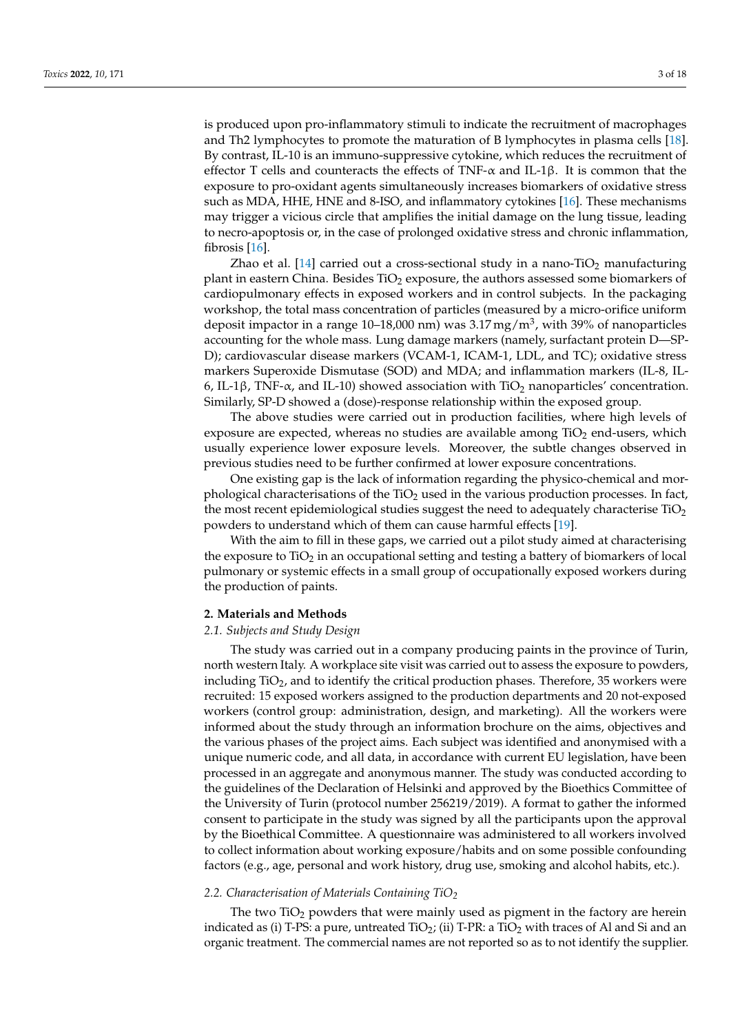is produced upon pro-inflammatory stimuli to indicate the recruitment of macrophages and Th2 lymphocytes to promote the maturation of B lymphocytes in plasma cells [\[18\]](#page-15-15). By contrast, IL-10 is an immuno-suppressive cytokine, which reduces the recruitment of effector T cells and counteracts the effects of TNF- $\alpha$  and IL-1 $\beta$ . It is common that the exposure to pro-oxidant agents simultaneously increases biomarkers of oxidative stress such as MDA, HHE, HNE and 8-ISO, and inflammatory cytokines [\[16\]](#page-15-13). These mechanisms may trigger a vicious circle that amplifies the initial damage on the lung tissue, leading to necro-apoptosis or, in the case of prolonged oxidative stress and chronic inflammation, fibrosis [\[16\]](#page-15-13).

Zhao et al. [\[14\]](#page-15-10) carried out a cross-sectional study in a nano-TiO<sub>2</sub> manufacturing plant in eastern China. Besides  $TiO<sub>2</sub>$  exposure, the authors assessed some biomarkers of cardiopulmonary effects in exposed workers and in control subjects. In the packaging workshop, the total mass concentration of particles (measured by a micro-orifice uniform deposit impactor in a range 10–18,000 nm) was 3.17 mg/m $^3$ , with 39% of nanoparticles accounting for the whole mass. Lung damage markers (namely, surfactant protein D—SP-D); cardiovascular disease markers (VCAM-1, ICAM-1, LDL, and TC); oxidative stress markers Superoxide Dismutase (SOD) and MDA; and inflammation markers (IL-8, IL-6, IL-1β, TNF- $\alpha$ , and IL-10) showed association with TiO<sub>2</sub> nanoparticles' concentration. Similarly, SP-D showed a (dose)-response relationship within the exposed group.

The above studies were carried out in production facilities, where high levels of exposure are expected, whereas no studies are available among  $TiO<sub>2</sub>$  end-users, which usually experience lower exposure levels. Moreover, the subtle changes observed in previous studies need to be further confirmed at lower exposure concentrations.

One existing gap is the lack of information regarding the physico-chemical and morphological characterisations of the  $TiO<sub>2</sub>$  used in the various production processes. In fact, the most recent epidemiological studies suggest the need to adequately characterise  $TiO<sub>2</sub>$ powders to understand which of them can cause harmful effects [\[19\]](#page-15-16).

With the aim to fill in these gaps, we carried out a pilot study aimed at characterising the exposure to TiO<sub>2</sub> in an occupational setting and testing a battery of biomarkers of local pulmonary or systemic effects in a small group of occupationally exposed workers during the production of paints.

#### **2. Materials and Methods**

### *2.1. Subjects and Study Design*

The study was carried out in a company producing paints in the province of Turin, north western Italy. A workplace site visit was carried out to assess the exposure to powders, including  $TiO<sub>2</sub>$ , and to identify the critical production phases. Therefore, 35 workers were recruited: 15 exposed workers assigned to the production departments and 20 not-exposed workers (control group: administration, design, and marketing). All the workers were informed about the study through an information brochure on the aims, objectives and the various phases of the project aims. Each subject was identified and anonymised with a unique numeric code, and all data, in accordance with current EU legislation, have been processed in an aggregate and anonymous manner. The study was conducted according to the guidelines of the Declaration of Helsinki and approved by the Bioethics Committee of the University of Turin (protocol number 256219/2019). A format to gather the informed consent to participate in the study was signed by all the participants upon the approval by the Bioethical Committee. A questionnaire was administered to all workers involved to collect information about working exposure/habits and on some possible confounding factors (e.g., age, personal and work history, drug use, smoking and alcohol habits, etc.).

#### *2.2. Characterisation of Materials Containing TiO<sup>2</sup>*

The two  $TiO<sub>2</sub>$  powders that were mainly used as pigment in the factory are herein indicated as (i) T-PS: a pure, untreated  $TiO<sub>2</sub>$ ; (ii) T-PR: a  $TiO<sub>2</sub>$  with traces of Al and Si and an organic treatment. The commercial names are not reported so as to not identify the supplier.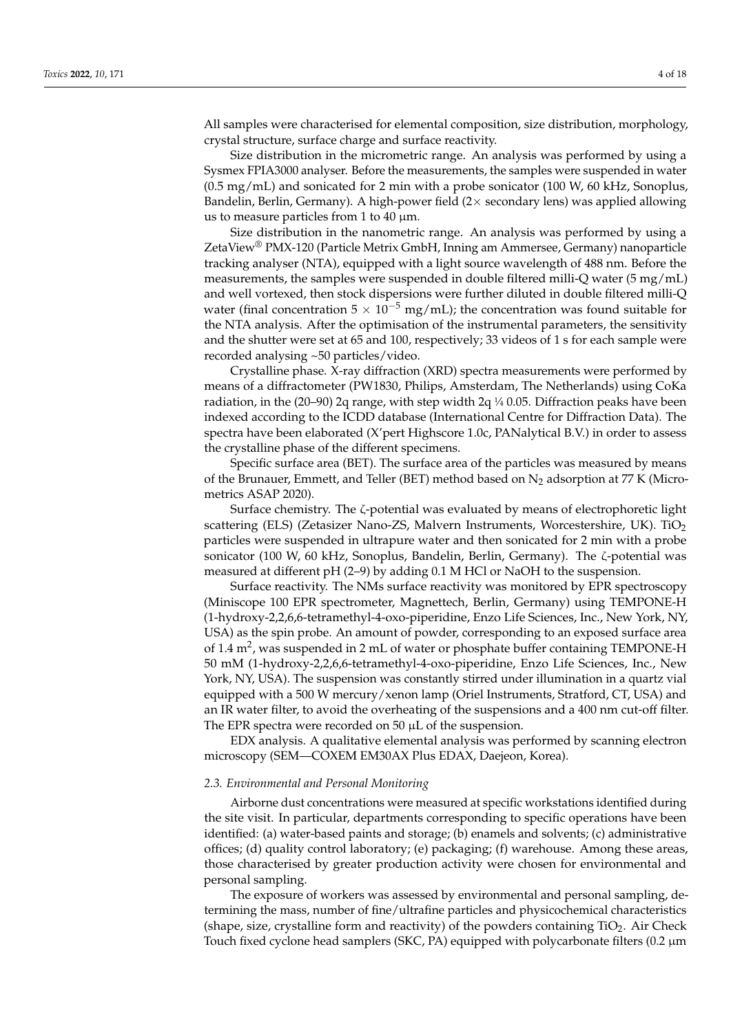All samples were characterised for elemental composition, size distribution, morphology, crystal structure, surface charge and surface reactivity.

Size distribution in the micrometric range. An analysis was performed by using a Sysmex FPIA3000 analyser. Before the measurements, the samples were suspended in water (0.5 mg/mL) and sonicated for 2 min with a probe sonicator (100 W, 60 kHz, Sonoplus, Bandelin, Berlin, Germany). A high-power field (2× secondary lens) was applied allowing us to measure particles from 1 to 40 µm.

Size distribution in the nanometric range. An analysis was performed by using a ZetaView® PMX-120 (Particle Metrix GmbH, Inning am Ammersee, Germany) nanoparticle tracking analyser (NTA), equipped with a light source wavelength of 488 nm. Before the measurements, the samples were suspended in double filtered milli-Q water (5 mg/mL) and well vortexed, then stock dispersions were further diluted in double filtered milli-Q water (final concentration  $5 \times 10^{-5}$  mg/mL); the concentration was found suitable for the NTA analysis. After the optimisation of the instrumental parameters, the sensitivity and the shutter were set at 65 and 100, respectively; 33 videos of 1 s for each sample were recorded analysing ~50 particles/video.

Crystalline phase. X-ray diffraction (XRD) spectra measurements were performed by means of a diffractometer (PW1830, Philips, Amsterdam, The Netherlands) using CoKa radiation, in the (20–90) 2q range, with step width 2q <sup>1</sup> ⁄<sup>4</sup> 0.05. Diffraction peaks have been indexed according to the ICDD database (International Centre for Diffraction Data). The spectra have been elaborated (X'pert Highscore 1.0c, PANalytical B.V.) in order to assess the crystalline phase of the different specimens.

Specific surface area (BET). The surface area of the particles was measured by means of the Brunauer, Emmett, and Teller (BET) method based on  $N_2$  adsorption at 77 K (Micrometrics ASAP 2020).

Surface chemistry. The ζ-potential was evaluated by means of electrophoretic light scattering (ELS) (Zetasizer Nano-ZS, Malvern Instruments, Worcestershire, UK). TiO<sub>2</sub> particles were suspended in ultrapure water and then sonicated for 2 min with a probe sonicator (100 W, 60 kHz, Sonoplus, Bandelin, Berlin, Germany). The ζ-potential was measured at different pH (2–9) by adding 0.1 M HCl or NaOH to the suspension.

Surface reactivity. The NMs surface reactivity was monitored by EPR spectroscopy (Miniscope 100 EPR spectrometer, Magnettech, Berlin, Germany) using TEMPONE-H (1-hydroxy-2,2,6,6-tetramethyl-4-oxo-piperidine, Enzo Life Sciences, Inc., New York, NY, USA) as the spin probe. An amount of powder, corresponding to an exposed surface area of 1.4  $m^2$ , was suspended in 2 mL of water or phosphate buffer containing TEMPONE-H 50 mM (1-hydroxy-2,2,6,6-tetramethyl-4-oxo-piperidine, Enzo Life Sciences, Inc., New York, NY, USA). The suspension was constantly stirred under illumination in a quartz vial equipped with a 500 W mercury/xenon lamp (Oriel Instruments, Stratford, CT, USA) and an IR water filter, to avoid the overheating of the suspensions and a 400 nm cut-off filter. The EPR spectra were recorded on 50 µL of the suspension.

EDX analysis. A qualitative elemental analysis was performed by scanning electron microscopy (SEM—COXEM EM30AX Plus EDAX, Daejeon, Korea).

#### *2.3. Environmental and Personal Monitoring*

Airborne dust concentrations were measured at specific workstations identified during the site visit. In particular, departments corresponding to specific operations have been identified: (a) water-based paints and storage; (b) enamels and solvents; (c) administrative offices; (d) quality control laboratory; (e) packaging; (f) warehouse. Among these areas, those characterised by greater production activity were chosen for environmental and personal sampling.

The exposure of workers was assessed by environmental and personal sampling, determining the mass, number of fine/ultrafine particles and physicochemical characteristics (shape, size, crystalline form and reactivity) of the powders containing  $TiO<sub>2</sub>$ . Air Check Touch fixed cyclone head samplers (SKC, PA) equipped with polycarbonate filters (0.2 µm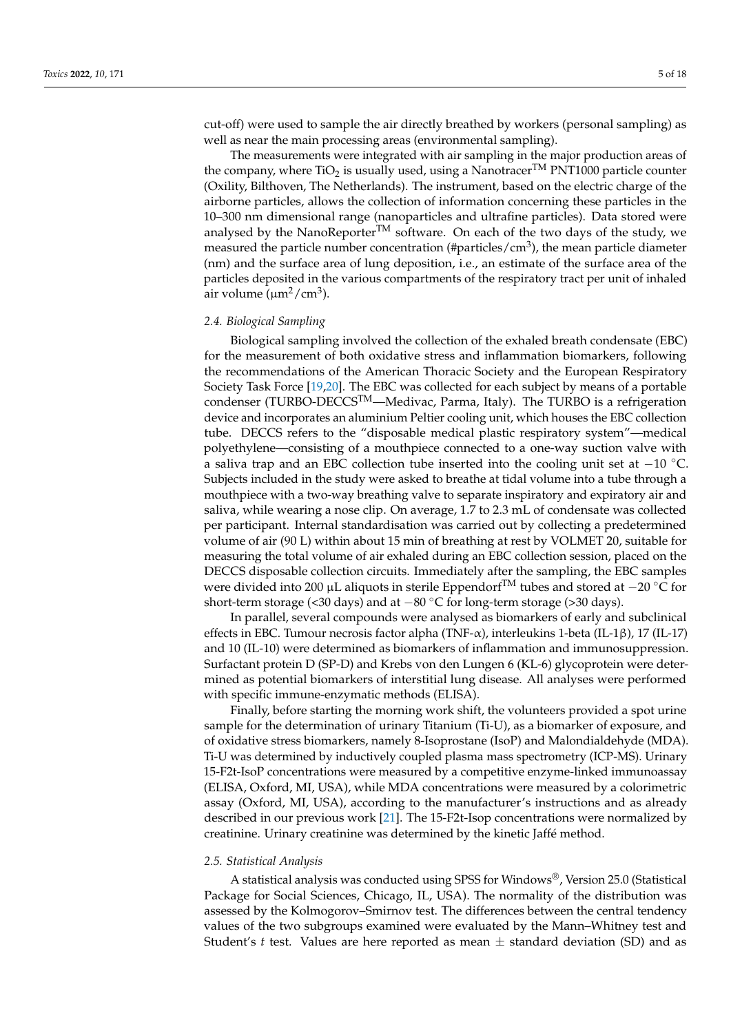cut-off) were used to sample the air directly breathed by workers (personal sampling) as well as near the main processing areas (environmental sampling).

The measurements were integrated with air sampling in the major production areas of the company, where  $TiO<sub>2</sub>$  is usually used, using a Nanotracer<sup>TM</sup> PNT1000 particle counter (Oxility, Bilthoven, The Netherlands). The instrument, based on the electric charge of the airborne particles, allows the collection of information concerning these particles in the 10–300 nm dimensional range (nanoparticles and ultrafine particles). Data stored were analysed by the NanoReporter<sup>TM</sup> software. On each of the two days of the study, we measured the particle number concentration (#particles/cm $^3$ ), the mean particle diameter (nm) and the surface area of lung deposition, i.e., an estimate of the surface area of the particles deposited in the various compartments of the respiratory tract per unit of inhaled air volume ( $\mu$ m<sup>2</sup>/cm<sup>3</sup>).

#### *2.4. Biological Sampling*

Biological sampling involved the collection of the exhaled breath condensate (EBC) for the measurement of both oxidative stress and inflammation biomarkers, following the recommendations of the American Thoracic Society and the European Respiratory Society Task Force [\[19,](#page-15-16)[20\]](#page-15-17). The EBC was collected for each subject by means of a portable condenser (TURBO-DECCS<sup>TM</sup>—Medivac, Parma, Italy). The TURBO is a refrigeration device and incorporates an aluminium Peltier cooling unit, which houses the EBC collection tube. DECCS refers to the "disposable medical plastic respiratory system"—medical polyethylene—consisting of a mouthpiece connected to a one-way suction valve with a saliva trap and an EBC collection tube inserted into the cooling unit set at −10 ◦C. Subjects included in the study were asked to breathe at tidal volume into a tube through a mouthpiece with a two-way breathing valve to separate inspiratory and expiratory air and saliva, while wearing a nose clip. On average, 1.7 to 2.3 mL of condensate was collected per participant. Internal standardisation was carried out by collecting a predetermined volume of air (90 L) within about 15 min of breathing at rest by VOLMET 20, suitable for measuring the total volume of air exhaled during an EBC collection session, placed on the DECCS disposable collection circuits. Immediately after the sampling, the EBC samples were divided into 200 μL aliquots in sterile Eppendorf<sup>TM</sup> tubes and stored at −20 °C for short-term storage (<30 days) and at −80 ◦C for long-term storage (>30 days).

In parallel, several compounds were analysed as biomarkers of early and subclinical effects in EBC. Tumour necrosis factor alpha (TNF-α), interleukins 1-beta (IL-1β), 17 (IL-17) and 10 (IL-10) were determined as biomarkers of inflammation and immunosuppression. Surfactant protein D (SP-D) and Krebs von den Lungen 6 (KL-6) glycoprotein were determined as potential biomarkers of interstitial lung disease. All analyses were performed with specific immune-enzymatic methods (ELISA).

Finally, before starting the morning work shift, the volunteers provided a spot urine sample for the determination of urinary Titanium (Ti-U), as a biomarker of exposure, and of oxidative stress biomarkers, namely 8-Isoprostane (IsoP) and Malondialdehyde (MDA). Ti-U was determined by inductively coupled plasma mass spectrometry (ICP-MS). Urinary 15-F2t-IsoP concentrations were measured by a competitive enzyme-linked immunoassay (ELISA, Oxford, MI, USA), while MDA concentrations were measured by a colorimetric assay (Oxford, MI, USA), according to the manufacturer's instructions and as already described in our previous work [\[21\]](#page-15-18). The 15-F2t-Isop concentrations were normalized by creatinine. Urinary creatinine was determined by the kinetic Jaffé method.

#### *2.5. Statistical Analysis*

A statistical analysis was conducted using SPSS for Windows®, Version 25.0 (Statistical Package for Social Sciences, Chicago, IL, USA). The normality of the distribution was assessed by the Kolmogorov–Smirnov test. The differences between the central tendency values of the two subgroups examined were evaluated by the Mann–Whitney test and Student's *t* test. Values are here reported as mean ± standard deviation (SD) and as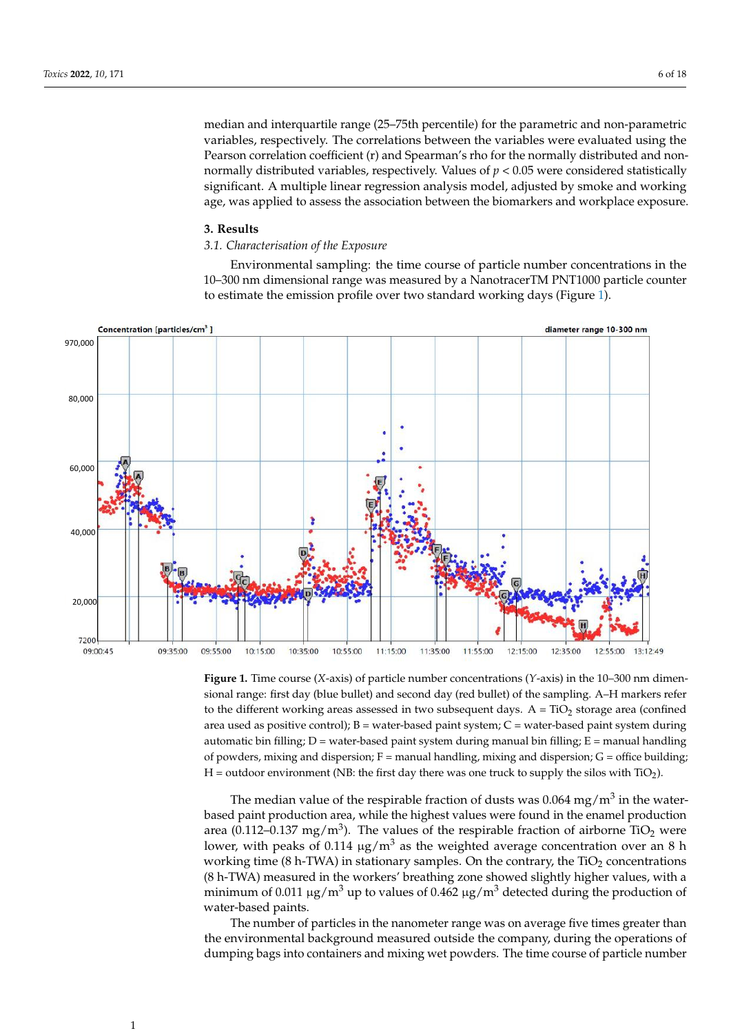median and interquartile range (25–75th percentile) for the parametric and non-parametric variables, respectively. The correlations between the variables were evaluated using the Pearson correlation coefficient (r) and Spearman's rho for the normally distributed and nonnormally distributed variables, respectively. Values of  $p < 0.05$  were considered statistically significant. A multiple linear regression analysis model, adjusted by smoke and working age, was applied to assess the association between the biomarkers and workplace exposure.

#### **3. Results**

#### *3.1. Characterisation of the Exposure*

<span id="page-5-0"></span>Environmental sampling: the time course of particle number concentrations in the 10–300 nm dimensional range was measured by a NanotracerTM PNT1000 particle counter to estimate the emission profile over two standard working days (Figure [1\)](#page-5-0).



**Figure 1.** Time course (*X*-axis) of particle number concentrations (*Y*-axis) in the 10–300 nm dimensional range: first day (blue bullet) and second day (red bullet) of the sampling. A–H markers refer to the different working areas assessed in two subsequent days.  $A = TiO<sub>2</sub>$  storage area (confined area used as positive control);  $B =$  water-based paint system;  $C =$  water-based paint system during automatic bin filling;  $D$  = water-based paint system during manual bin filling;  $E$  = manual handling of powders, mixing and dispersion;  $F =$  manual handling, mixing and dispersion;  $G =$  office building; H = outdoor environment (NB: the first day there was one truck to supply the silos with TiO<sub>2</sub>).

The median value of the respirable fraction of dusts was 0.064 mg/m<sup>3</sup> in the waterbased paint production area, while the highest values were found in the enamel production area (0.112–0.137 mg/m<sup>3</sup>). The values of the respirable fraction of airborne TiO<sub>2</sub> were lower, with peaks of 0.114  $\mu$ g/m<sup>3</sup> as the weighted average concentration over an 8 h working time (8 h-TWA) in stationary samples. On the contrary, the  $TiO<sub>2</sub>$  concentrations (8 h-TWA) measured in the workers' breathing zone showed slightly higher values, with a minimum of 0.011  $\mu$ g/m<sup>3</sup> up to values of 0.462  $\mu$ g/m<sup>3</sup> detected during the production of water-based paints.

The number of particles in the nanometer range was on average five times greater than the environmental background measured outside the company, during the operations of dumping bags into containers and mixing wet powders. The time course of particle number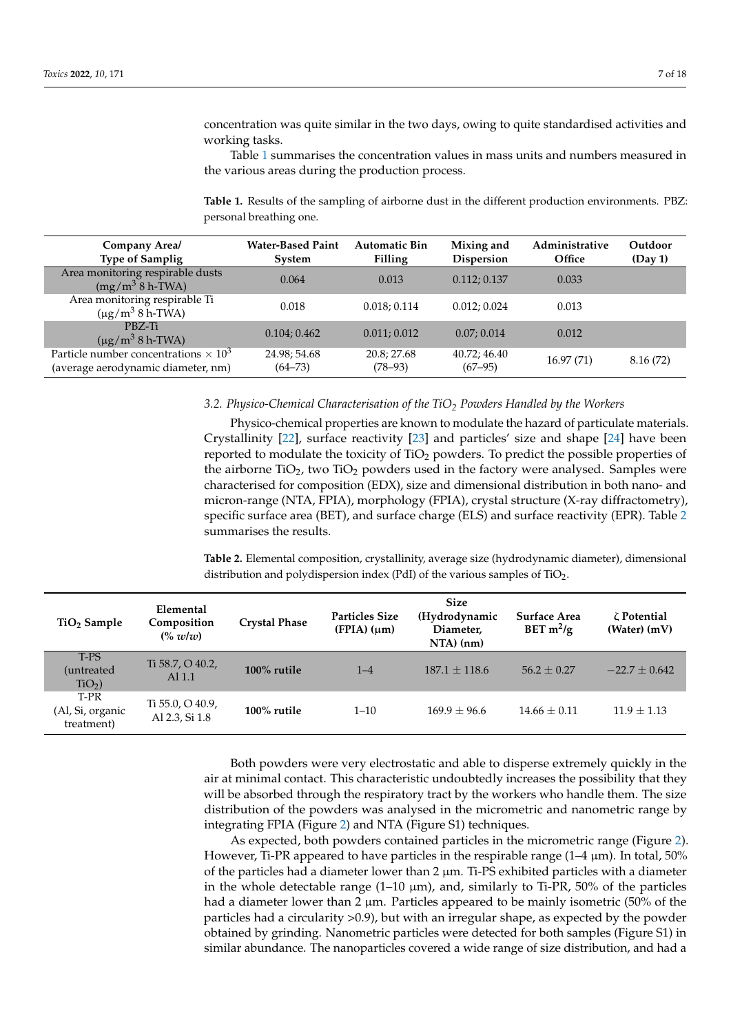concentration was quite similar in the two days, owing to quite standardised activities and working tasks.

Table [1](#page-6-0) summarises the concentration values in mass units and numbers measured in the various areas during the production process.

<span id="page-6-0"></span>**Table 1.** Results of the sampling of airborne dust in the different production environments. PBZ: personal breathing one.

| Company Area/<br><b>Type of Samplig</b>                                            | <b>Water-Based Paint</b><br><b>System</b> | <b>Automatic Bin</b><br>Filling | Mixing and<br>Dispersion    | Administrative<br>Office | Outdoor<br>(Day 1) |
|------------------------------------------------------------------------------------|-------------------------------------------|---------------------------------|-----------------------------|--------------------------|--------------------|
| Area monitoring respirable dusts<br>$(mg/m^3 8 h-TWA)$                             | 0.064                                     | 0.013                           | 0.112; 0.137                | 0.033                    |                    |
| Area monitoring respirable Ti<br>$(\mu g/m^3 8 h$ -TWA)                            | 0.018                                     | 0.018; 0.114                    | 0.012; 0.024                | 0.013                    |                    |
| PBZ-Ti<br>$(\mu g/m^3 8 h$ -TWA)                                                   | 0.104; 0.462                              | 0.011; 0.012                    | 0.07:0.014                  | 0.012                    |                    |
| Particle number concentrations $\times 10^3$<br>(average aerodynamic diameter, nm) | 24.98; 54.68<br>$(64 - 73)$               | 20.8; 27.68<br>$(78-93)$        | 40.72; 46.40<br>$(67 - 95)$ | 16.97(71)                | 8.16(72)           |

#### *3.2. Physico-Chemical Characterisation of the TiO<sup>2</sup> Powders Handled by the Workers*

Physico-chemical properties are known to modulate the hazard of particulate materials. Crystallinity [\[22\]](#page-15-19), surface reactivity [\[23\]](#page-16-0) and particles' size and shape [\[24\]](#page-16-1) have been reported to modulate the toxicity of  $TiO<sub>2</sub>$  powders. To predict the possible properties of the airborne  $TiO<sub>2</sub>$ , two  $TiO<sub>2</sub>$  powders used in the factory were analysed. Samples were characterised for composition (EDX), size and dimensional distribution in both nano- and micron-range (NTA, FPIA), morphology (FPIA), crystal structure (X-ray diffractometry), specific surface area (BET), and surface charge (ELS) and surface reactivity (EPR). Table [2](#page-6-1) summarises the results.

<span id="page-6-1"></span>**Table 2.** Elemental composition, crystallinity, average size (hydrodynamic diameter), dimensional distribution and polydispersion index (PdI) of the various samples of TiO<sub>2</sub>.

| TiO <sub>2</sub> Sample                | Elemental<br>Composition<br>$(\%$ w/w) | <b>Crystal Phase</b> | <b>Particles Size</b><br>$(FPIA)(\mu m)$ | <b>Size</b><br>(Hydrodynamic<br>Diameter,<br>$NTA)$ (nm) | <b>Surface Area</b><br>BET $m^2/g$ | ζ Potential<br>$(Water)$ (mV) |
|----------------------------------------|----------------------------------------|----------------------|------------------------------------------|----------------------------------------------------------|------------------------------------|-------------------------------|
| T-PS<br>(untreated<br>$TiO2$ )         | Ti 58.7, O 40.2,<br>Al 1.1             | $100\%$ rutile       | $1 - 4$                                  | $187.1 + 118.6$                                          | $56.2 + 0.27$                      | $-22.7 + 0.642$               |
| T-PR<br>(Al, Si, organic<br>treatment) | Ti 55.0, O 40.9,<br>Al 2.3, Si 1.8     | $100\%$ rutile       | $1 - 10$                                 | $169.9 + 96.6$                                           | $14.66 + 0.11$                     | $11.9 \pm 1.13$               |

Both powders were very electrostatic and able to disperse extremely quickly in the air at minimal contact. This characteristic undoubtedly increases the possibility that they will be absorbed through the respiratory tract by the workers who handle them. The size distribution of the powders was analysed in the micrometric and nanometric range by integrating FPIA (Figure [2\)](#page-7-0) and NTA (Figure S1) techniques.

As expected, both powders contained particles in the micrometric range (Figure [2\)](#page-7-0). However, Ti-PR appeared to have particles in the respirable range  $(1-4 \mu m)$ . In total, 50% of the particles had a diameter lower than  $2 \mu m$ . Ti-PS exhibited particles with a diameter in the whole detectable range  $(1-10 \mu m)$ , and, similarly to Ti-PR, 50% of the particles had a diameter lower than 2  $\mu$ m. Particles appeared to be mainly isometric (50% of the particles had a circularity >0.9), but with an irregular shape, as expected by the powder obtained by grinding. Nanometric particles were detected for both samples (Figure S1) in similar abundance. The nanoparticles covered a wide range of size distribution, and had a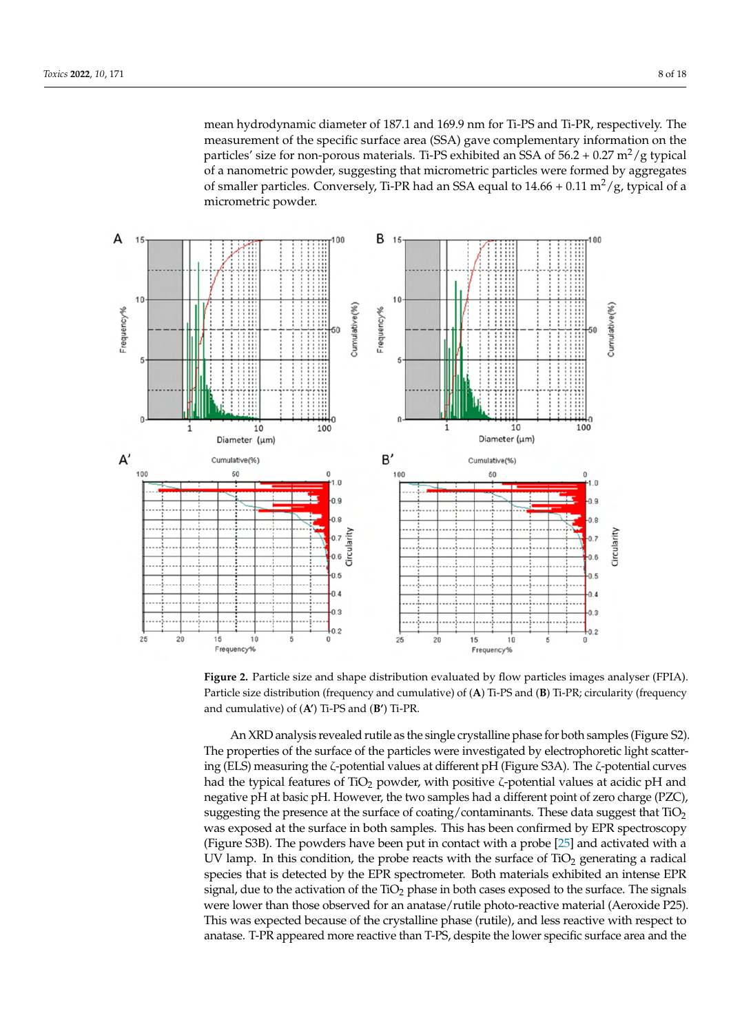<span id="page-7-0"></span>mean hydrodynamic diameter of 187.1 and 169.9 nm for Ti-PS and Ti-PR, respectively. The measurement of the specific surface area (SSA) gave complementary information on the particles' size for non-porous materials. Ti-PS exhibited an SSA of  $56.2 + 0.27$  m<sup>2</sup>/g typical of a nanometric powder, suggesting that micrometric particles were formed by aggregates of smaller particles. Conversely, Ti-PR had an SSA equal to  $14.66 + 0.11$  m<sup>2</sup>/g, typical of a micrometric powder.



**Figure 2.** Particle size and shape distribution evaluated by flow particles images analyser (FPIA). Particle size distribution (frequency and cumulative) of (**A**) Ti-PS and (**B**) Ti-PR; circularity (frequency and cumulative) of (**A'**) Ti-PS and (**B'**) Ti-PR.

An XRD analysis revealed rutile as the single crystalline phase for both samples (Figure S2). The properties of the surface of the particles were investigated by electrophoretic light scattering (ELS) measuring the ζ-potential values at different pH (Figure S3A). The ζ-potential curves had the typical features of TiO<sub>2</sub> powder, with positive  $\zeta$ -potential values at acidic pH and negative pH at basic pH. However, the two samples had a different point of zero charge (PZC), suggesting the presence at the surface of coating/contaminants. These data suggest that  $TiO<sub>2</sub>$ was exposed at the surface in both samples. This has been confirmed by EPR spectroscopy (Figure S3B). The powders have been put in contact with a probe [\[25\]](#page-16-2) and activated with a UV lamp. In this condition, the probe reacts with the surface of  $TiO<sub>2</sub>$  generating a radical species that is detected by the EPR spectrometer. Both materials exhibited an intense EPR signal, due to the activation of the  $TiO<sub>2</sub>$  phase in both cases exposed to the surface. The signals were lower than those observed for an anatase/rutile photo-reactive material (Aeroxide P25). This was expected because of the crystalline phase (rutile), and less reactive with respect to anatase. T-PR appeared more reactive than T-PS, despite the lower specific surface area and the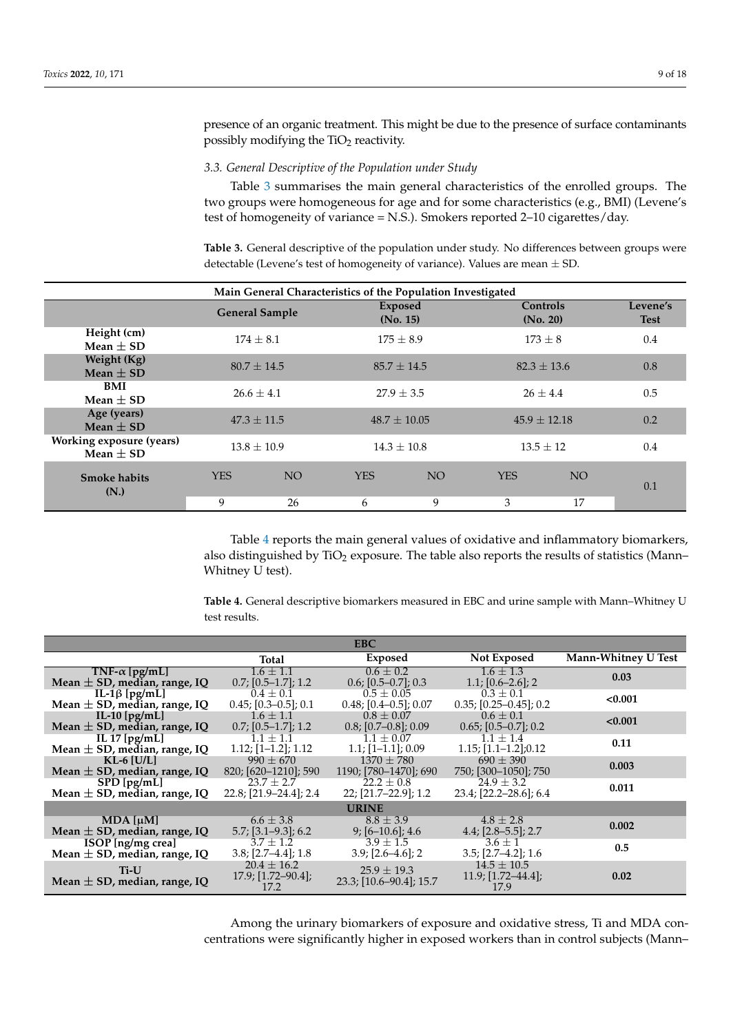presence of an organic treatment. This might be due to the presence of surface contaminants possibly modifying the  $TiO<sub>2</sub>$  reactivity.

## *3.3. General Descriptive of the Population under Study*

Table [3](#page-8-0) summarises the main general characteristics of the enrolled groups. The two groups were homogeneous for age and for some characteristics (e.g., BMI) (Levene's test of homogeneity of variance = N.S.). Smokers reported 2–10 cigarettes/day.

<span id="page-8-0"></span>**Table 3.** General descriptive of the population under study. No differences between groups were detectable (Levene's test of homogeneity of variance). Values are mean  $\pm$  SD.

| Main General Characteristics of the Population Investigated |                 |                                                     |            |                      |            |                         |     |
|-------------------------------------------------------------|-----------------|-----------------------------------------------------|------------|----------------------|------------|-------------------------|-----|
|                                                             |                 | <b>Exposed</b><br><b>General Sample</b><br>(No. 15) |            | Controls<br>(No. 20) |            | Levene's<br><b>Test</b> |     |
| Height (cm)<br>$Mean + SD$                                  |                 | $174 + 8.1$                                         |            | $175 + 8.9$          |            | $173 \pm 8$             |     |
| Weight (Kg)<br>Mean $\pm$ SD                                |                 | $80.7 \pm 14.5$                                     |            | $85.7 \pm 14.5$      |            | $82.3 \pm 13.6$         |     |
| <b>BMI</b><br>$Mean + SD$                                   | $26.6 + 4.1$    |                                                     |            | $27.9 + 3.5$         |            | $26 + 4.4$              |     |
| Age (years)<br>$Mean + SD$                                  | $47.3 \pm 11.5$ |                                                     |            | $48.7 \pm 10.05$     |            | $45.9 \pm 12.18$        |     |
| Working exposure (years)<br>Mean $\pm$ SD                   |                 | $13.8 \pm 10.9$                                     |            | $14.3 \pm 10.8$      |            | $13.5 \pm 12$           |     |
| <b>Smoke habits</b><br>(N.)                                 | <b>YES</b>      | NO <sub>1</sub>                                     | <b>YES</b> | NO.                  | <b>YES</b> | NO <sub>1</sub>         | 0.1 |
|                                                             | 9               | 26                                                  | 6          | 9                    | 3          | 17                      |     |

Table [4](#page-8-1) reports the main general values of oxidative and inflammatory biomarkers, also distinguished by  $TiO<sub>2</sub>$  exposure. The table also reports the results of statistics (Mann– Whitney U test).

<span id="page-8-1"></span>**Table 4.** General descriptive biomarkers measured in EBC and urine sample with Mann–Whitney U test results.

|                                  |                                | <b>EBC</b>                |                                |                            |  |  |  |
|----------------------------------|--------------------------------|---------------------------|--------------------------------|----------------------------|--|--|--|
|                                  | Total                          | Exposed                   | Not Exposed                    | <b>Mann-Whitney U Test</b> |  |  |  |
| TNF- $\alpha$ [pg/mL]            | $1.6 \pm 1.1$                  | $0.6 + 0.2$               | $1.6 \pm 1.3$                  | 0.03                       |  |  |  |
| Mean $\pm$ SD, median, range, IQ | $0.7$ ; [0.5–1.7]; 1.2         | $0.6$ ; [0.5–0.7]; 0.3    | $1.1$ ; $[0.6-2.6]$ ; 2        |                            |  |  |  |
| IL-1 $\beta$ [pg/mL]             | $0.4 \pm 0.1$                  | $0.5 \pm 0.05$            | $0.3 \pm 0.1$                  | < 0.001                    |  |  |  |
| Mean $\pm$ SD, median, range, IQ | $0.45; [0.3-0.5]; 0.1$         | $0.48; [0.4 - 0.5]; 0.07$ | $0.35$ ; $[0.25 - 0.45]$ ; 0.2 |                            |  |  |  |
| IL-10 $[pg/mL]$                  | $1.6 \pm 1.1$                  | $0.8 \pm 0.07$            | $0.6 \pm 0.1$                  | < 0.001                    |  |  |  |
| Mean $\pm$ SD, median, range, IQ | $0.7$ ; [0.5–1.7]; 1.2         | $0.8$ ; [0.7–0.8]; 0.09   | $0.65; [0.5-0.7]; 0.2$         |                            |  |  |  |
| IL 17 $[pg/mL]$                  | $1.1 \pm 1.1$                  | $1.1 \pm 0.07$            | $1.1 + 1.4$                    | 0.11                       |  |  |  |
| Mean $\pm$ SD, median, range, IQ | $1.12$ ; $[1-1.2]$ ; $1.12$    | $1.1;$ [1-1.1]; 0.09      | $1.15; [1.1-1.2]; 0.12$        |                            |  |  |  |
| $KL-6$ [U/L]                     | $990 \pm 670$                  | $1370 \pm 780$            | $690 \pm 390$                  | 0.003                      |  |  |  |
| Mean $\pm$ SD, median, range, IQ | 820; [620–1210]; 590           | 1190; [780–1470]; 690     | 750; [300-1050]; 750           |                            |  |  |  |
| $SPD$ [pg/mL]                    | $23.7 + 2.7$                   | $22.2 + 0.8$              | $24.9 + 3.2$                   | 0.011                      |  |  |  |
| Mean $\pm$ SD, median, range, IQ | $22.8$ ; [21.9–24.4]; 2.4      | $22; [21.7-22.9]; 1.2$    | $23.4$ ; [22.2–28.6]; 6.4      |                            |  |  |  |
| <b>URINE</b>                     |                                |                           |                                |                            |  |  |  |
| $MDA$ [ $\mu$ M]                 | $6.6 \pm 3.8$                  | $8.8 \pm 3.9$             | $4.8 + 2.8$                    | 0.002                      |  |  |  |
| Mean $\pm$ SD, median, range, IQ | $5.7$ ; [3.1–9.3]; 6.2         | $9; [6 - 10.6]; 4.6$      | $4.4$ ; [2.8–5.5]; 2.7         |                            |  |  |  |
| ISOP [ng/mg crea]                | $3.7 \pm 1.2$                  | $3.9 \pm 1.5$             | $3.6 \pm 1$                    | 0.5                        |  |  |  |
| Mean $\pm$ SD, median, range, IQ | $3.8$ ; [ $2.7 - 4.4$ ]; 1.8   | $3.9$ ; $[2.6 - 4.6]$ ; 2 | $3.5$ ; $[2.7-4.2]$ ; 1.6      |                            |  |  |  |
| Ti-U                             | $20.4 \pm 16.2$                | $25.9 \pm 19.3$           | $14.5 \pm 10.5$                |                            |  |  |  |
| Mean $\pm$ SD, median, range, IQ | $17.9; [1.72 - 90.4];$<br>17.2 | 23.3; [10.6–90.4]; 15.7   | $11.9; [1.72 - 44.4];$<br>17.9 | 0.02                       |  |  |  |

Among the urinary biomarkers of exposure and oxidative stress, Ti and MDA concentrations were significantly higher in exposed workers than in control subjects (Mann–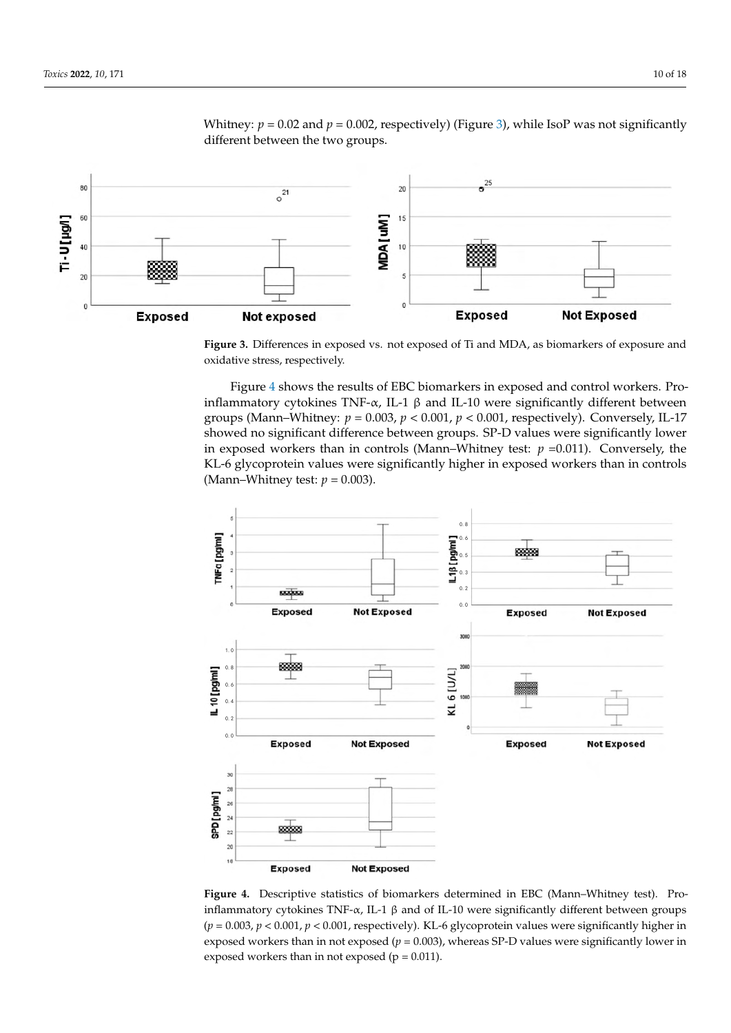

<span id="page-9-0"></span>Whitney:  $p = 0.02$  and  $p = 0.002$ , respectively) (Figure [3\)](#page-9-0), while IsoP was not significantly different between the two groups.

**Figure 3.** Differences in exposed vs. not exposed of Ti and MDA, as biomarkers of exposure and oxidative stress, respectively.

Figure [4](#page-9-1) shows the results of EBC biomarkers in exposed and control workers. Proinflammatory cytokines TNF- $\alpha$ , IL-1 β and IL-10 were significantly different between groups (Mann–Whitney: *p* = 0.003, *p* < 0.001, *p* < 0.001, respectively). Conversely, IL-17 showed no significant difference between groups. SP-D values were significantly lower in exposed workers than in controls (Mann–Whitney test:  $p = 0.011$ ). Conversely, the KL-6 glycoprotein values were significantly higher in exposed workers than in controls (Mann–Whitney test:  $p = 0.003$ ).

<span id="page-9-1"></span>

**Figure 4.** Descriptive statistics of biomarkers determined in EBC (Mann–Whitney test). Proinflammatory cytokines TNF-α, IL-1  $β$  and of IL-10 were significantly different between groups (*p* = 0.003, *p* < 0.001, *p* < 0.001, respectively). KL-6 glycoprotein values were significantly higher in exposed workers than in not exposed ( $p = 0.003$ ), whereas SP-D values were significantly lower in exposed workers than in not exposed ( $p = 0.011$ ).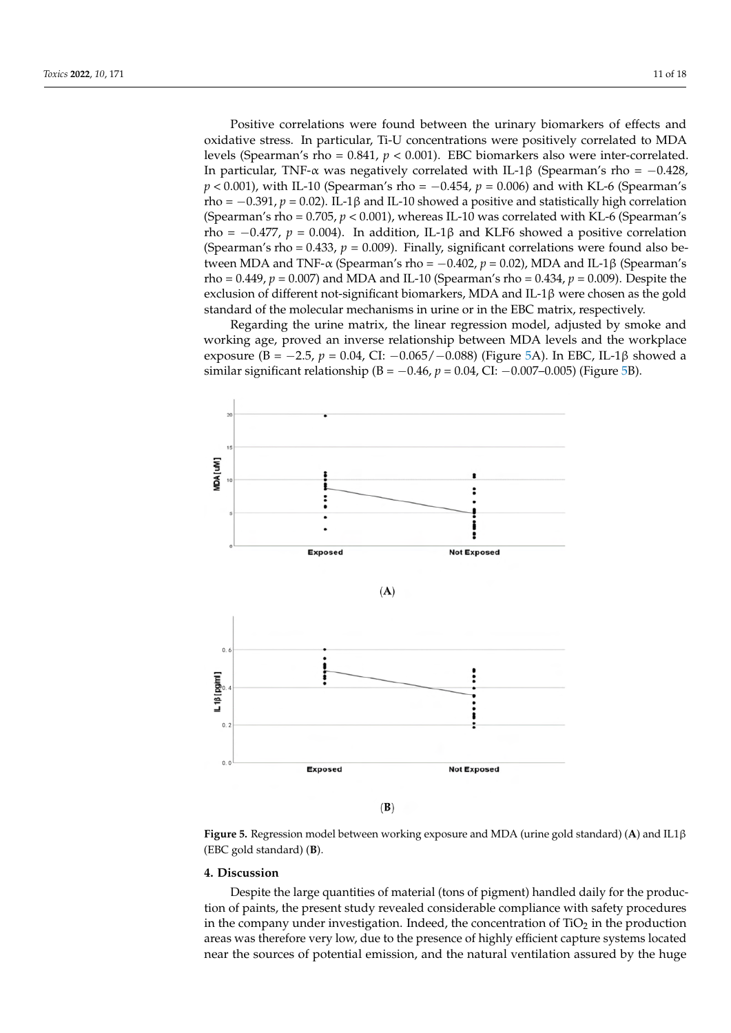Positive correlations were found between the urinary biomarkers of effects and oxidative stress. In particular, Ti-U concentrations were positively correlated to MDA levels (Spearman's rho = 0.841, *p* < 0.001). EBC biomarkers also were inter-correlated. In particular, TNF- $\alpha$  was negatively correlated with IL-1β (Spearman's rho = -0.428, *p* < 0.001), with IL-10 (Spearman's rho = −0.454, *p* = 0.006) and with KL-6 (Spearman's rho = −0.391, *p* = 0.02). IL-1β and IL-10 showed a positive and statistically high correlation (Spearman's rho =  $0.705$ ,  $p < 0.001$ ), whereas IL-10 was correlated with KL-6 (Spearman's rho =  $-0.477$ ,  $p = 0.004$ ). In addition, IL-1β and KLF6 showed a positive correlation

(Spearman's rho =  $0.433$ ,  $p = 0.009$ ). Finally, significant correlations were found also between MDA and TNF- $\alpha$  (Spearman's rho = -0.402,  $p = 0.02$ ), MDA and IL-1β (Spearman's rho = 0.449, *p* = 0.007) and MDA and IL-10 (Spearman's rho = 0.434, *p* = 0.009). Despite the exclusion of different not-significant biomarkers, MDA and IL-1 $\beta$  were chosen as the gold standard of the molecular mechanisms in urine or in the EBC matrix, respectively. Regarding the urine matrix, the linear regression model, adjusted by smoke and

working age, proved an inverse relationship between MDA levels and the workplace exposure (B = −2.5, *p* = 0.04, CI: −0.065/−0.088) (Figure [5A](#page-10-0)). In EBC, IL-1β showed a similar significant relationship (B = −0.46, *p* = 0.04, CI: −0.007–0.005) (Figure [5B](#page-10-0)).

<span id="page-10-0"></span>

**Figure 5.** Regression model between working exposure and MDA (urine gold standard) (**A**) and IL1β (EBC gold standard) (**B**).

#### **4. Discussion**

Despite the large quantities of material (tons of pigment) handled daily for the production of paints, the present study revealed considerable compliance with safety procedures in the company under investigation. Indeed, the concentration of  $TiO<sub>2</sub>$  in the production areas was therefore very low, due to the presence of highly efficient capture systems located near the sources of potential emission, and the natural ventilation assured by the huge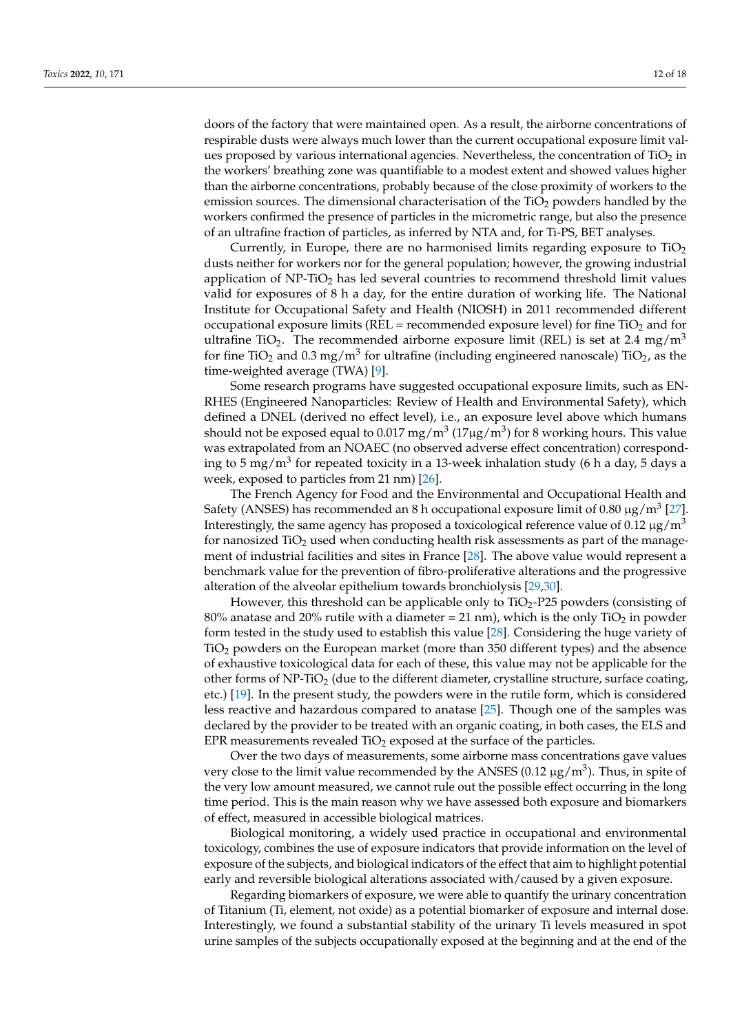doors of the factory that were maintained open. As a result, the airborne concentrations of respirable dusts were always much lower than the current occupational exposure limit values proposed by various international agencies. Nevertheless, the concentration of  $TiO<sub>2</sub>$  in the workers' breathing zone was quantifiable to a modest extent and showed values higher than the airborne concentrations, probably because of the close proximity of workers to the emission sources. The dimensional characterisation of the  $TiO<sub>2</sub>$  powders handled by the workers confirmed the presence of particles in the micrometric range, but also the presence of an ultrafine fraction of particles, as inferred by NTA and, for Ti-PS, BET analyses.

Currently, in Europe, there are no harmonised limits regarding exposure to  $TiO<sub>2</sub>$ dusts neither for workers nor for the general population; however, the growing industrial application of NP-TiO<sup>2</sup> has led several countries to recommend threshold limit values valid for exposures of 8 h a day, for the entire duration of working life. The National Institute for Occupational Safety and Health (NIOSH) in 2011 recommended different occupational exposure limits (REL = recommended exposure level) for fine  $TiO<sub>2</sub>$  and for ultrafine TiO<sub>2</sub>. The recommended airborne exposure limit (REL) is set at 2.4 mg/m<sup>3</sup> for fine TiO<sub>2</sub> and 0.3 mg/m<sup>3</sup> for ultrafine (including engineered nanoscale) TiO<sub>2</sub>, as the time-weighted average (TWA) [\[9\]](#page-15-7).

Some research programs have suggested occupational exposure limits, such as EN-RHES (Engineered Nanoparticles: Review of Health and Environmental Safety), which defined a DNEL (derived no effect level), i.e., an exposure level above which humans should not be exposed equal to  $0.017$  mg/m $^3$  (17 $\mu$ g/m $^3$ ) for 8 working hours. This value was extrapolated from an NOAEC (no observed adverse effect concentration) corresponding to 5 mg/m $^3$  for repeated toxicity in a 13-week inhalation study (6 h a day, 5 days a week, exposed to particles from 21 nm) [\[26\]](#page-16-3).

The French Agency for Food and the Environmental and Occupational Health and Safety (ANSES) has recommended an 8 h occupational exposure limit of 0.80  $\mu$ g/m $^3$  [\[27\]](#page-16-4). Interestingly, the same agency has proposed a toxicological reference value of 0.12  $\mu$ g/m<sup>3</sup> for nanosized  $TiO<sub>2</sub>$  used when conducting health risk assessments as part of the management of industrial facilities and sites in France [\[28\]](#page-16-5). The above value would represent a benchmark value for the prevention of fibro-proliferative alterations and the progressive alteration of the alveolar epithelium towards bronchiolysis [\[29](#page-16-6)[,30\]](#page-16-7).

However, this threshold can be applicable only to  $TiO<sub>2</sub>-P25$  powders (consisting of 80% anatase and 20% rutile with a diameter = 21 nm), which is the only TiO<sub>2</sub> in powder form tested in the study used to establish this value [\[28\]](#page-16-5). Considering the huge variety of TiO<sup>2</sup> powders on the European market (more than 350 different types) and the absence of exhaustive toxicological data for each of these, this value may not be applicable for the other forms of  $NP-TiO<sub>2</sub>$  (due to the different diameter, crystalline structure, surface coating, etc.) [\[19\]](#page-15-16). In the present study, the powders were in the rutile form, which is considered less reactive and hazardous compared to anatase [\[25\]](#page-16-2). Though one of the samples was declared by the provider to be treated with an organic coating, in both cases, the ELS and EPR measurements revealed  $TiO<sub>2</sub>$  exposed at the surface of the particles.

Over the two days of measurements, some airborne mass concentrations gave values very close to the limit value recommended by the ANSES (0.12  $\mu$ g/m<sup>3</sup>). Thus, in spite of the very low amount measured, we cannot rule out the possible effect occurring in the long time period. This is the main reason why we have assessed both exposure and biomarkers of effect, measured in accessible biological matrices.

Biological monitoring, a widely used practice in occupational and environmental toxicology, combines the use of exposure indicators that provide information on the level of exposure of the subjects, and biological indicators of the effect that aim to highlight potential early and reversible biological alterations associated with/caused by a given exposure.

Regarding biomarkers of exposure, we were able to quantify the urinary concentration of Titanium (Ti, element, not oxide) as a potential biomarker of exposure and internal dose. Interestingly, we found a substantial stability of the urinary Ti levels measured in spot urine samples of the subjects occupationally exposed at the beginning and at the end of the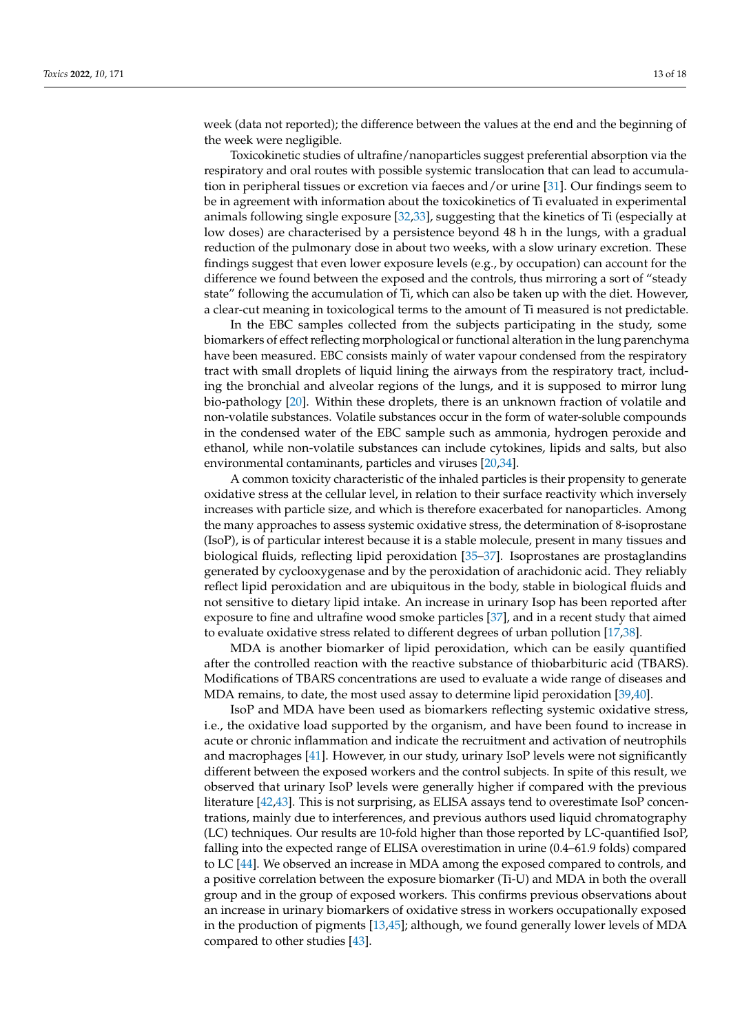week (data not reported); the difference between the values at the end and the beginning of the week were negligible.

Toxicokinetic studies of ultrafine/nanoparticles suggest preferential absorption via the respiratory and oral routes with possible systemic translocation that can lead to accumulation in peripheral tissues or excretion via faeces and/or urine [\[31\]](#page-16-8). Our findings seem to be in agreement with information about the toxicokinetics of Ti evaluated in experimental animals following single exposure [\[32](#page-16-9)[,33\]](#page-16-10), suggesting that the kinetics of Ti (especially at low doses) are characterised by a persistence beyond 48 h in the lungs, with a gradual reduction of the pulmonary dose in about two weeks, with a slow urinary excretion. These findings suggest that even lower exposure levels (e.g., by occupation) can account for the difference we found between the exposed and the controls, thus mirroring a sort of "steady state" following the accumulation of Ti, which can also be taken up with the diet. However, a clear-cut meaning in toxicological terms to the amount of Ti measured is not predictable.

In the EBC samples collected from the subjects participating in the study, some biomarkers of effect reflecting morphological or functional alteration in the lung parenchyma have been measured. EBC consists mainly of water vapour condensed from the respiratory tract with small droplets of liquid lining the airways from the respiratory tract, including the bronchial and alveolar regions of the lungs, and it is supposed to mirror lung bio-pathology [\[20\]](#page-15-17). Within these droplets, there is an unknown fraction of volatile and non-volatile substances. Volatile substances occur in the form of water-soluble compounds in the condensed water of the EBC sample such as ammonia, hydrogen peroxide and ethanol, while non-volatile substances can include cytokines, lipids and salts, but also environmental contaminants, particles and viruses [\[20,](#page-15-17)[34\]](#page-16-11).

A common toxicity characteristic of the inhaled particles is their propensity to generate oxidative stress at the cellular level, in relation to their surface reactivity which inversely increases with particle size, and which is therefore exacerbated for nanoparticles. Among the many approaches to assess systemic oxidative stress, the determination of 8-isoprostane (IsoP), is of particular interest because it is a stable molecule, present in many tissues and biological fluids, reflecting lipid peroxidation [\[35](#page-16-12)[–37\]](#page-16-13). Isoprostanes are prostaglandins generated by cyclooxygenase and by the peroxidation of arachidonic acid. They reliably reflect lipid peroxidation and are ubiquitous in the body, stable in biological fluids and not sensitive to dietary lipid intake. An increase in urinary Isop has been reported after exposure to fine and ultrafine wood smoke particles [\[37\]](#page-16-13), and in a recent study that aimed to evaluate oxidative stress related to different degrees of urban pollution [\[17,](#page-15-14)[38\]](#page-16-14).

MDA is another biomarker of lipid peroxidation, which can be easily quantified after the controlled reaction with the reactive substance of thiobarbituric acid (TBARS). Modifications of TBARS concentrations are used to evaluate a wide range of diseases and MDA remains, to date, the most used assay to determine lipid peroxidation [\[39](#page-16-15)[,40\]](#page-16-16).

IsoP and MDA have been used as biomarkers reflecting systemic oxidative stress, i.e., the oxidative load supported by the organism, and have been found to increase in acute or chronic inflammation and indicate the recruitment and activation of neutrophils and macrophages [\[41\]](#page-16-17). However, in our study, urinary IsoP levels were not significantly different between the exposed workers and the control subjects. In spite of this result, we observed that urinary IsoP levels were generally higher if compared with the previous literature [\[42](#page-16-18)[,43\]](#page-16-19). This is not surprising, as ELISA assays tend to overestimate IsoP concentrations, mainly due to interferences, and previous authors used liquid chromatography (LC) techniques. Our results are 10-fold higher than those reported by LC-quantified IsoP, falling into the expected range of ELISA overestimation in urine (0.4–61.9 folds) compared to LC [\[44\]](#page-16-20). We observed an increase in MDA among the exposed compared to controls, and a positive correlation between the exposure biomarker (Ti-U) and MDA in both the overall group and in the group of exposed workers. This confirms previous observations about an increase in urinary biomarkers of oxidative stress in workers occupationally exposed in the production of pigments [\[13](#page-15-11)[,45\]](#page-16-21); although, we found generally lower levels of MDA compared to other studies [\[43\]](#page-16-19).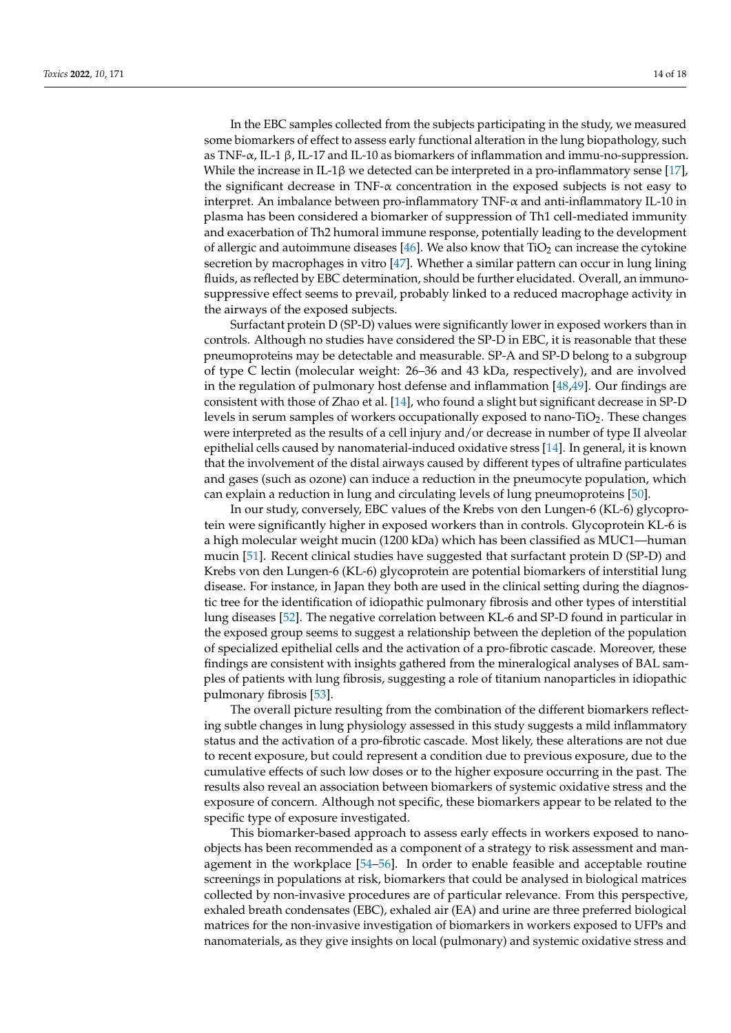In the EBC samples collected from the subjects participating in the study, we measured some biomarkers of effect to assess early functional alteration in the lung biopathology, such as TNF-α, IL-1 β, IL-17 and IL-10 as biomarkers of inflammation and immu-no-suppression. While the increase in IL-1β we detected can be interpreted in a pro-inflammatory sense [\[17\]](#page-15-14), the significant decrease in TNF- $\alpha$  concentration in the exposed subjects is not easy to interpret. An imbalance between pro-inflammatory TNF-α and anti-inflammatory IL-10 in plasma has been considered a biomarker of suppression of Th1 cell-mediated immunity and exacerbation of Th2 humoral immune response, potentially leading to the development of allergic and autoimmune diseases [\[46\]](#page-16-22). We also know that  $TiO<sub>2</sub>$  can increase the cytokine secretion by macrophages in vitro [\[47\]](#page-17-0). Whether a similar pattern can occur in lung lining fluids, as reflected by EBC determination, should be further elucidated. Overall, an immunosuppressive effect seems to prevail, probably linked to a reduced macrophage activity in the airways of the exposed subjects.

Surfactant protein D (SP-D) values were significantly lower in exposed workers than in controls. Although no studies have considered the SP-D in EBC, it is reasonable that these pneumoproteins may be detectable and measurable. SP-A and SP-D belong to a subgroup of type C lectin (molecular weight: 26–36 and 43 kDa, respectively), and are involved in the regulation of pulmonary host defense and inflammation [\[48](#page-17-1)[,49\]](#page-17-2). Our findings are consistent with those of Zhao et al. [\[14\]](#page-15-10), who found a slight but significant decrease in SP-D levels in serum samples of workers occupationally exposed to nano-TiO2. These changes were interpreted as the results of a cell injury and/or decrease in number of type II alveolar epithelial cells caused by nanomaterial-induced oxidative stress [\[14\]](#page-15-10). In general, it is known that the involvement of the distal airways caused by different types of ultrafine particulates and gases (such as ozone) can induce a reduction in the pneumocyte population, which can explain a reduction in lung and circulating levels of lung pneumoproteins [\[50\]](#page-17-3).

In our study, conversely, EBC values of the Krebs von den Lungen-6 (KL-6) glycoprotein were significantly higher in exposed workers than in controls. Glycoprotein KL-6 is a high molecular weight mucin (1200 kDa) which has been classified as MUC1—human mucin [\[51\]](#page-17-4). Recent clinical studies have suggested that surfactant protein D (SP-D) and Krebs von den Lungen-6 (KL-6) glycoprotein are potential biomarkers of interstitial lung disease. For instance, in Japan they both are used in the clinical setting during the diagnostic tree for the identification of idiopathic pulmonary fibrosis and other types of interstitial lung diseases [\[52\]](#page-17-5). The negative correlation between KL-6 and SP-D found in particular in the exposed group seems to suggest a relationship between the depletion of the population of specialized epithelial cells and the activation of a pro-fibrotic cascade. Moreover, these findings are consistent with insights gathered from the mineralogical analyses of BAL samples of patients with lung fibrosis, suggesting a role of titanium nanoparticles in idiopathic pulmonary fibrosis [\[53\]](#page-17-6).

The overall picture resulting from the combination of the different biomarkers reflecting subtle changes in lung physiology assessed in this study suggests a mild inflammatory status and the activation of a pro-fibrotic cascade. Most likely, these alterations are not due to recent exposure, but could represent a condition due to previous exposure, due to the cumulative effects of such low doses or to the higher exposure occurring in the past. The results also reveal an association between biomarkers of systemic oxidative stress and the exposure of concern. Although not specific, these biomarkers appear to be related to the specific type of exposure investigated.

This biomarker-based approach to assess early effects in workers exposed to nanoobjects has been recommended as a component of a strategy to risk assessment and management in the workplace [\[54](#page-17-7)[–56\]](#page-17-8). In order to enable feasible and acceptable routine screenings in populations at risk, biomarkers that could be analysed in biological matrices collected by non-invasive procedures are of particular relevance. From this perspective, exhaled breath condensates (EBC), exhaled air (EA) and urine are three preferred biological matrices for the non-invasive investigation of biomarkers in workers exposed to UFPs and nanomaterials, as they give insights on local (pulmonary) and systemic oxidative stress and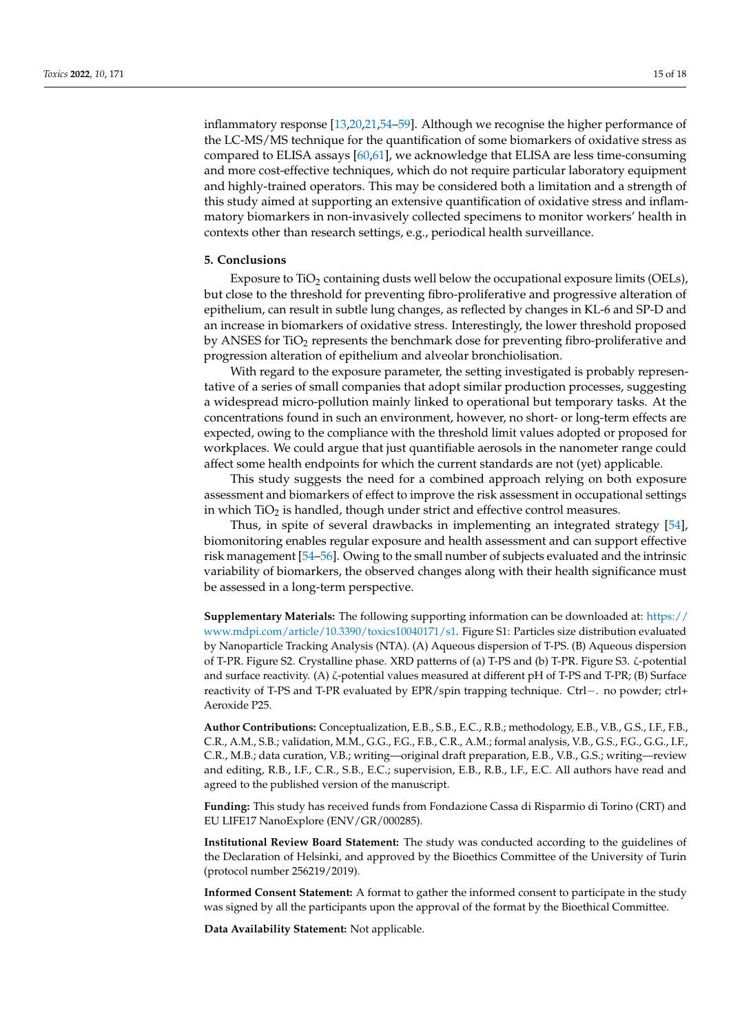inflammatory response [\[13](#page-15-11)[,20,](#page-15-17)[21,](#page-15-18)[54](#page-17-7)[–59\]](#page-17-9). Although we recognise the higher performance of the LC-MS/MS technique for the quantification of some biomarkers of oxidative stress as compared to ELISA assays [\[60,](#page-17-10)[61\]](#page-17-11), we acknowledge that ELISA are less time-consuming and more cost-effective techniques, which do not require particular laboratory equipment and highly-trained operators. This may be considered both a limitation and a strength of this study aimed at supporting an extensive quantification of oxidative stress and inflammatory biomarkers in non-invasively collected specimens to monitor workers' health in contexts other than research settings, e.g., periodical health surveillance.

## **5. Conclusions**

Exposure to  $TiO<sub>2</sub>$  containing dusts well below the occupational exposure limits (OELs), but close to the threshold for preventing fibro-proliferative and progressive alteration of epithelium, can result in subtle lung changes, as reflected by changes in KL-6 and SP-D and an increase in biomarkers of oxidative stress. Interestingly, the lower threshold proposed by ANSES for TiO<sub>2</sub> represents the benchmark dose for preventing fibro-proliferative and progression alteration of epithelium and alveolar bronchiolisation.

With regard to the exposure parameter, the setting investigated is probably representative of a series of small companies that adopt similar production processes, suggesting a widespread micro-pollution mainly linked to operational but temporary tasks. At the concentrations found in such an environment, however, no short- or long-term effects are expected, owing to the compliance with the threshold limit values adopted or proposed for workplaces. We could argue that just quantifiable aerosols in the nanometer range could affect some health endpoints for which the current standards are not (yet) applicable.

This study suggests the need for a combined approach relying on both exposure assessment and biomarkers of effect to improve the risk assessment in occupational settings in which  $TiO<sub>2</sub>$  is handled, though under strict and effective control measures.

Thus, in spite of several drawbacks in implementing an integrated strategy [\[54\]](#page-17-7), biomonitoring enables regular exposure and health assessment and can support effective risk management [\[54](#page-17-7)[–56\]](#page-17-8). Owing to the small number of subjects evaluated and the intrinsic variability of biomarkers, the observed changes along with their health significance must be assessed in a long-term perspective.

**Supplementary Materials:** The following supporting information can be downloaded at: [https://](https://www.mdpi.com/article/10.3390/toxics10040171/s1) [www.mdpi.com/article/10.3390/toxics10040171/s1.](https://www.mdpi.com/article/10.3390/toxics10040171/s1) Figure S1: Particles size distribution evaluated by Nanoparticle Tracking Analysis (NTA). (A) Aqueous dispersion of T-PS. (B) Aqueous dispersion of T-PR. Figure S2. Crystalline phase. XRD patterns of (a) T-PS and (b) T-PR. Figure S3. ζ-potential and surface reactivity. (A) ζ-potential values measured at different pH of T-PS and T-PR; (B) Surface reactivity of T-PS and T-PR evaluated by EPR/spin trapping technique. Ctrl−. no powder; ctrl+ Aeroxide P25.

**Author Contributions:** Conceptualization, E.B., S.B., E.C., R.B.; methodology, E.B., V.B., G.S., I.F., F.B., C.R., A.M., S.B.; validation, M.M., G.G., F.G., F.B., C.R., A.M.; formal analysis, V.B., G.S., F.G., G.G., I.F., C.R., M.B.; data curation, V.B.; writing—original draft preparation, E.B., V.B., G.S.; writing—review and editing, R.B., I.F., C.R., S.B., E.C.; supervision, E.B., R.B., I.F., E.C. All authors have read and agreed to the published version of the manuscript.

**Funding:** This study has received funds from Fondazione Cassa di Risparmio di Torino (CRT) and EU LIFE17 NanoExplore (ENV/GR/000285).

**Institutional Review Board Statement:** The study was conducted according to the guidelines of the Declaration of Helsinki, and approved by the Bioethics Committee of the University of Turin (protocol number 256219/2019).

**Informed Consent Statement:** A format to gather the informed consent to participate in the study was signed by all the participants upon the approval of the format by the Bioethical Committee.

**Data Availability Statement:** Not applicable.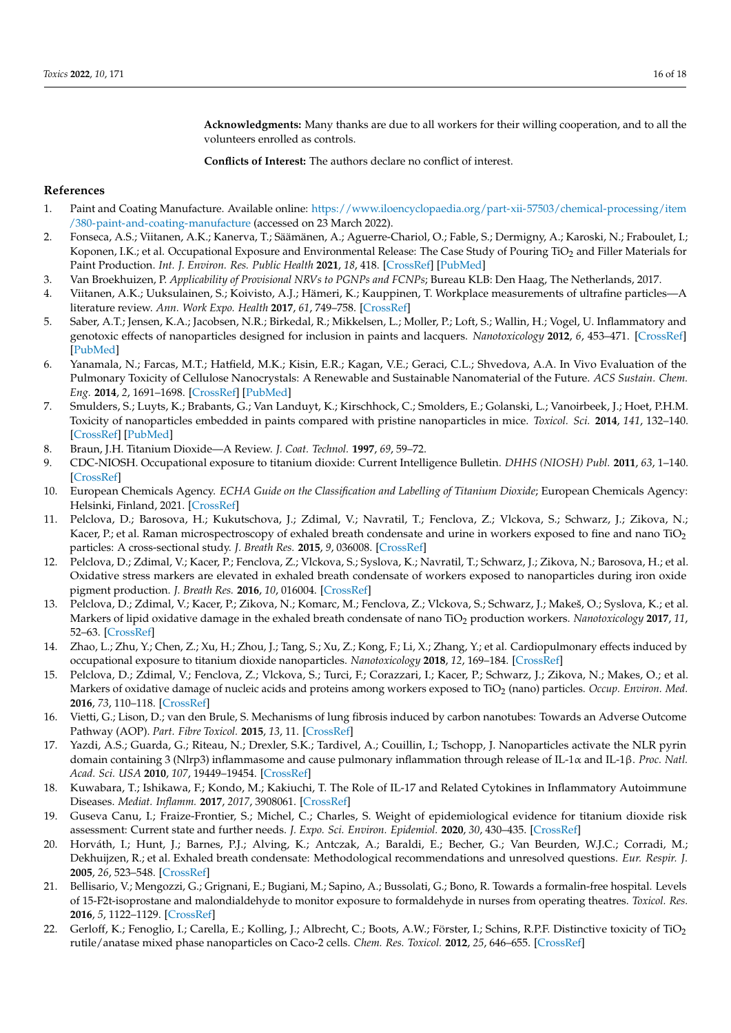**Acknowledgments:** Many thanks are due to all workers for their willing cooperation, and to all the volunteers enrolled as controls.

**Conflicts of Interest:** The authors declare no conflict of interest.

## **References**

- <span id="page-15-0"></span>1. Paint and Coating Manufacture. Available online: [https://www.iloencyclopaedia.org/part-xii-57503/chemical-processing/item](https://www.iloencyclopaedia.org/part-xii-57503/chemical-processing/item/380-paint-and-coating-manufacture) [/380-paint-and-coating-manufacture](https://www.iloencyclopaedia.org/part-xii-57503/chemical-processing/item/380-paint-and-coating-manufacture) (accessed on 23 March 2022).
- <span id="page-15-1"></span>2. Fonseca, A.S.; Viitanen, A.K.; Kanerva, T.; Säämänen, A.; Aguerre-Chariol, O.; Fable, S.; Dermigny, A.; Karoski, N.; Fraboulet, I.; Koponen, I.K.; et al. Occupational Exposure and Environmental Release: The Case Study of Pouring TiO<sub>2</sub> and Filler Materials for Paint Production. *Int. J. Environ. Res. Public Health* **2021**, *18*, 418. [\[CrossRef\]](http://doi.org/10.3390/ijerph18020418) [\[PubMed\]](http://www.ncbi.nlm.nih.gov/pubmed/33430311)
- <span id="page-15-2"></span>3. Van Broekhuizen, P. *Applicability of Provisional NRVs to PGNPs and FCNPs*; Bureau KLB: Den Haag, The Netherlands, 2017.
- <span id="page-15-3"></span>4. Viitanen, A.K.; Uuksulainen, S.; Koivisto, A.J.; Hämeri, K.; Kauppinen, T. Workplace measurements of ultrafine particles—A literature review. *Ann. Work Expo. Health* **2017**, *61*, 749–758. [\[CrossRef\]](http://doi.org/10.1093/annweh/wxx049)
- <span id="page-15-4"></span>5. Saber, A.T.; Jensen, K.A.; Jacobsen, N.R.; Birkedal, R.; Mikkelsen, L.; Moller, P.; Loft, S.; Wallin, H.; Vogel, U. Inflammatory and genotoxic effects of nanoparticles designed for inclusion in paints and lacquers. *Nanotoxicology* **2012**, *6*, 453–471. [\[CrossRef\]](http://doi.org/10.3109/17435390.2011.587900) [\[PubMed\]](http://www.ncbi.nlm.nih.gov/pubmed/21649461)
- 6. Yanamala, N.; Farcas, M.T.; Hatfield, M.K.; Kisin, E.R.; Kagan, V.E.; Geraci, C.L.; Shvedova, A.A. In Vivo Evaluation of the Pulmonary Toxicity of Cellulose Nanocrystals: A Renewable and Sustainable Nanomaterial of the Future. *ACS Sustain. Chem. Eng.* **2014**, *2*, 1691–1698. [\[CrossRef\]](http://doi.org/10.1021/sc500153k) [\[PubMed\]](http://www.ncbi.nlm.nih.gov/pubmed/26753107)
- <span id="page-15-5"></span>7. Smulders, S.; Luyts, K.; Brabants, G.; Van Landuyt, K.; Kirschhock, C.; Smolders, E.; Golanski, L.; Vanoirbeek, J.; Hoet, P.H.M. Toxicity of nanoparticles embedded in paints compared with pristine nanoparticles in mice. *Toxicol. Sci.* **2014**, *141*, 132–140. [\[CrossRef\]](http://doi.org/10.1093/toxsci/kfu112) [\[PubMed\]](http://www.ncbi.nlm.nih.gov/pubmed/24924400)
- <span id="page-15-6"></span>8. Braun, J.H. Titanium Dioxide—A Review. *J. Coat. Technol.* **1997**, *69*, 59–72.
- <span id="page-15-7"></span>9. CDC-NIOSH. Occupational exposure to titanium dioxide: Current Intelligence Bulletin. *DHHS (NIOSH) Publ.* **2011**, *63*, 1–140. [\[CrossRef\]](http://doi.org/10.26616/NIOSHPUB2011160)
- <span id="page-15-8"></span>10. European Chemicals Agency. *ECHA Guide on the Classification and Labelling of Titanium Dioxide*; European Chemicals Agency: Helsinki, Finland, 2021. [\[CrossRef\]](http://doi.org/10.21934/REACH:kompakt20200724)
- <span id="page-15-9"></span>11. Pelclova, D.; Barosova, H.; Kukutschova, J.; Zdimal, V.; Navratil, T.; Fenclova, Z.; Vlckova, S.; Schwarz, J.; Zikova, N.; Kacer, P.; et al. Raman microspectroscopy of exhaled breath condensate and urine in workers exposed to fine and nano  $TiO<sub>2</sub>$ particles: A cross-sectional study. *J. Breath Res.* **2015**, *9*, 036008. [\[CrossRef\]](http://doi.org/10.1088/1752-7155/9/3/036008)
- 12. Pelclova, D.; Zdimal, V.; Kacer, P.; Fenclova, Z.; Vlckova, S.; Syslova, K.; Navratil, T.; Schwarz, J.; Zikova, N.; Barosova, H.; et al. Oxidative stress markers are elevated in exhaled breath condensate of workers exposed to nanoparticles during iron oxide pigment production. *J. Breath Res.* **2016**, *10*, 016004. [\[CrossRef\]](http://doi.org/10.1088/1752-7155/10/1/016004)
- <span id="page-15-11"></span>13. Pelclova, D.; Zdimal, V.; Kacer, P.; Zikova, N.; Komarc, M.; Fenclova, Z.; Vlckova, S.; Schwarz, J.; Makeš, O.; Syslova, K.; et al. Markers of lipid oxidative damage in the exhaled breath condensate of nano TiO<sup>2</sup> production workers. *Nanotoxicology* **2017**, *11*, 52–63. [\[CrossRef\]](http://doi.org/10.1080/17435390.2016.1262921)
- <span id="page-15-10"></span>14. Zhao, L.; Zhu, Y.; Chen, Z.; Xu, H.; Zhou, J.; Tang, S.; Xu, Z.; Kong, F.; Li, X.; Zhang, Y.; et al. Cardiopulmonary effects induced by occupational exposure to titanium dioxide nanoparticles. *Nanotoxicology* **2018**, *12*, 169–184. [\[CrossRef\]](http://doi.org/10.1080/17435390.2018.1425502)
- <span id="page-15-12"></span>15. Pelclova, D.; Zdimal, V.; Fenclova, Z.; Vlckova, S.; Turci, F.; Corazzari, I.; Kacer, P.; Schwarz, J.; Zikova, N.; Makes, O.; et al. Markers of oxidative damage of nucleic acids and proteins among workers exposed to TiO<sub>2</sub> (nano) particles. *Occup. Environ. Med.* **2016**, *73*, 110–118. [\[CrossRef\]](http://doi.org/10.1136/oemed-2015-103161)
- <span id="page-15-13"></span>16. Vietti, G.; Lison, D.; van den Brule, S. Mechanisms of lung fibrosis induced by carbon nanotubes: Towards an Adverse Outcome Pathway (AOP). *Part. Fibre Toxicol.* **2015**, *13*, 11. [\[CrossRef\]](http://doi.org/10.1186/s12989-016-0123-y)
- <span id="page-15-14"></span>17. Yazdi, A.S.; Guarda, G.; Riteau, N.; Drexler, S.K.; Tardivel, A.; Couillin, I.; Tschopp, J. Nanoparticles activate the NLR pyrin domain containing 3 (Nlrp3) inflammasome and cause pulmonary inflammation through release of IL-1α and IL-1β. *Proc. Natl. Acad. Sci. USA* **2010**, *107*, 19449–19454. [\[CrossRef\]](http://doi.org/10.1073/pnas.1008155107)
- <span id="page-15-15"></span>18. Kuwabara, T.; Ishikawa, F.; Kondo, M.; Kakiuchi, T. The Role of IL-17 and Related Cytokines in Inflammatory Autoimmune Diseases. *Mediat. Inflamm.* **2017**, *2017*, 3908061. [\[CrossRef\]](http://doi.org/10.1155/2017/3908061)
- <span id="page-15-16"></span>19. Guseva Canu, I.; Fraize-Frontier, S.; Michel, C.; Charles, S. Weight of epidemiological evidence for titanium dioxide risk assessment: Current state and further needs. *J. Expo. Sci. Environ. Epidemiol.* **2020**, *30*, 430–435. [\[CrossRef\]](http://doi.org/10.1038/s41370-019-0161-2)
- <span id="page-15-17"></span>20. Horváth, I.; Hunt, J.; Barnes, P.J.; Alving, K.; Antczak, A.; Baraldi, E.; Becher, G.; Van Beurden, W.J.C.; Corradi, M.; Dekhuijzen, R.; et al. Exhaled breath condensate: Methodological recommendations and unresolved questions. *Eur. Respir. J.* **2005**, *26*, 523–548. [\[CrossRef\]](http://doi.org/10.1183/09031936.05.00029705)
- <span id="page-15-18"></span>21. Bellisario, V.; Mengozzi, G.; Grignani, E.; Bugiani, M.; Sapino, A.; Bussolati, G.; Bono, R. Towards a formalin-free hospital. Levels of 15-F2t-isoprostane and malondialdehyde to monitor exposure to formaldehyde in nurses from operating theatres. *Toxicol. Res.* **2016**, *5*, 1122–1129. [\[CrossRef\]](http://doi.org/10.1039/C6TX00068A)
- <span id="page-15-19"></span>22. Gerloff, K.; Fenoglio, I.; Carella, E.; Kolling, J.; Albrecht, C.; Boots, A.W.; Förster, I.; Schins, R.P.F. Distinctive toxicity of TiO<sub>2</sub> rutile/anatase mixed phase nanoparticles on Caco-2 cells. *Chem. Res. Toxicol.* **2012**, *25*, 646–655. [\[CrossRef\]](http://doi.org/10.1021/tx200334k)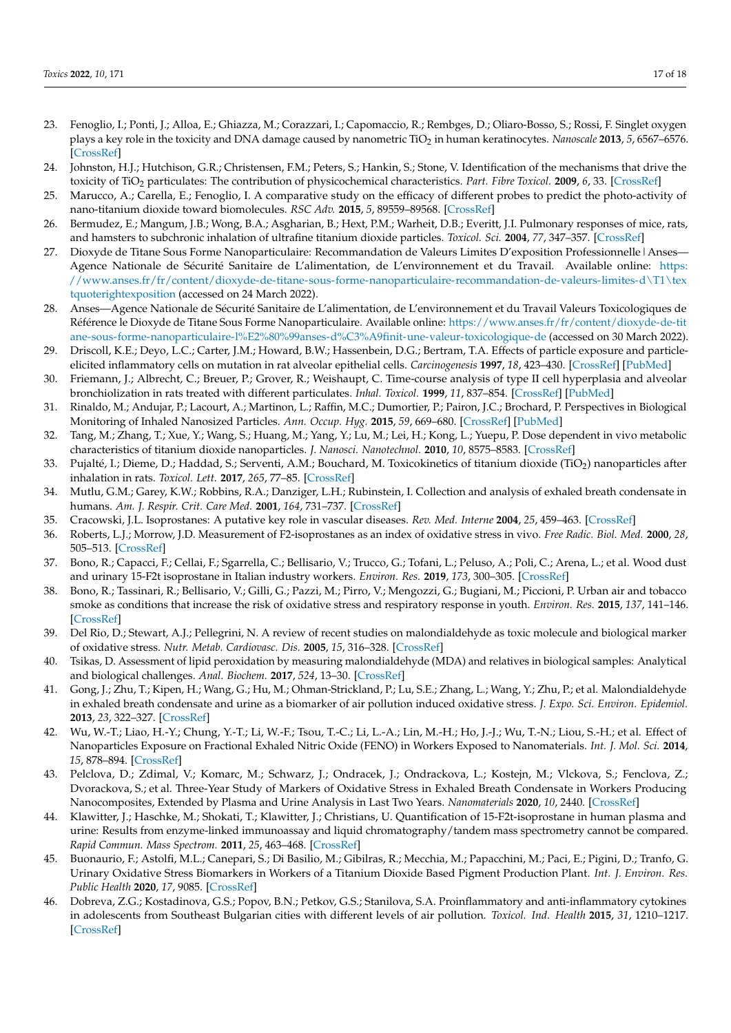- <span id="page-16-0"></span>23. Fenoglio, I.; Ponti, J.; Alloa, E.; Ghiazza, M.; Corazzari, I.; Capomaccio, R.; Rembges, D.; Oliaro-Bosso, S.; Rossi, F. Singlet oxygen plays a key role in the toxicity and DNA damage caused by nanometric TiO<sub>2</sub> in human keratinocytes. *Nanoscale* 2013, 5, 6567–6576. [\[CrossRef\]](http://doi.org/10.1039/c3nr01191g)
- <span id="page-16-1"></span>24. Johnston, H.J.; Hutchison, G.R.; Christensen, F.M.; Peters, S.; Hankin, S.; Stone, V. Identification of the mechanisms that drive the toxicity of TiO<sub>2</sub> particulates: The contribution of physicochemical characteristics. Part. Fibre Toxicol. 2009, 6, 33. [\[CrossRef\]](http://doi.org/10.1186/1743-8977-6-33)
- <span id="page-16-2"></span>25. Marucco, A.; Carella, E.; Fenoglio, I. A comparative study on the efficacy of different probes to predict the photo-activity of nano-titanium dioxide toward biomolecules. *RSC Adv.* **2015**, *5*, 89559–89568. [\[CrossRef\]](http://doi.org/10.1039/C5RA14303A)
- <span id="page-16-3"></span>26. Bermudez, E.; Mangum, J.B.; Wong, B.A.; Asgharian, B.; Hext, P.M.; Warheit, D.B.; Everitt, J.I. Pulmonary responses of mice, rats, and hamsters to subchronic inhalation of ultrafine titanium dioxide particles. *Toxicol. Sci.* **2004**, *77*, 347–357. [\[CrossRef\]](http://doi.org/10.1093/toxsci/kfh019)
- <span id="page-16-4"></span>27. Dioxyde de Titane Sous Forme Nanoparticulaire: Recommandation de Valeurs Limites D'exposition Professionnelle | Anses— Agence Nationale de Sécurité Sanitaire de L'alimentation, de L'environnement et du Travail. Available online: [https:](https://www.anses.fr/fr/content/dioxyde-de-titane-sous-forme-nanoparticulaire-recommandation-de-valeurs-limites-d\T1\textquoteright exposition) [//www.anses.fr/fr/content/dioxyde-de-titane-sous-forme-nanoparticulaire-recommandation-de-valeurs-limites-d\T1\tex](https://www.anses.fr/fr/content/dioxyde-de-titane-sous-forme-nanoparticulaire-recommandation-de-valeurs-limites-d\T1\textquoteright exposition) [tquoterightexposition](https://www.anses.fr/fr/content/dioxyde-de-titane-sous-forme-nanoparticulaire-recommandation-de-valeurs-limites-d\T1\textquoteright exposition) (accessed on 24 March 2022).
- <span id="page-16-5"></span>28. Anses—Agence Nationale de Sécurité Sanitaire de L'alimentation, de L'environnement et du Travail Valeurs Toxicologiques de Référence le Dioxyde de Titane Sous Forme Nanoparticulaire. Available online: [https://www.anses.fr/fr/content/dioxyde-de-tit](https://www.anses.fr/fr/content/dioxyde-de-titane-sous-forme-nanoparticulaire-l%E2%80%99anses-d%C3%A9finit-une-valeur-toxicologique-de) [ane-sous-forme-nanoparticulaire-l%E2%80%99anses-d%C3%A9finit-une-valeur-toxicologique-de](https://www.anses.fr/fr/content/dioxyde-de-titane-sous-forme-nanoparticulaire-l%E2%80%99anses-d%C3%A9finit-une-valeur-toxicologique-de) (accessed on 30 March 2022).
- <span id="page-16-6"></span>29. Driscoll, K.E.; Deyo, L.C.; Carter, J.M.; Howard, B.W.; Hassenbein, D.G.; Bertram, T.A. Effects of particle exposure and particleelicited inflammatory cells on mutation in rat alveolar epithelial cells. *Carcinogenesis* **1997**, *18*, 423–430. [\[CrossRef\]](http://doi.org/10.1093/carcin/18.2.423) [\[PubMed\]](http://www.ncbi.nlm.nih.gov/pubmed/9054638)
- <span id="page-16-7"></span>30. Friemann, J.; Albrecht, C.; Breuer, P.; Grover, R.; Weishaupt, C. Time-course analysis of type II cell hyperplasia and alveolar bronchiolization in rats treated with different particulates. *Inhal. Toxicol.* **1999**, *11*, 837–854. [\[CrossRef\]](http://doi.org/10.1080/089583799196763) [\[PubMed\]](http://www.ncbi.nlm.nih.gov/pubmed/10477445)
- <span id="page-16-8"></span>31. Rinaldo, M.; Andujar, P.; Lacourt, A.; Martinon, L.; Raffin, M.C.; Dumortier, P.; Pairon, J.C.; Brochard, P. Perspectives in Biological Monitoring of Inhaled Nanosized Particles. *Ann. Occup. Hyg.* **2015**, *59*, 669–680. [\[CrossRef\]](http://doi.org/10.1093/annhyg/mev015) [\[PubMed\]](http://www.ncbi.nlm.nih.gov/pubmed/25795003)
- <span id="page-16-9"></span>32. Tang, M.; Zhang, T.; Xue, Y.; Wang, S.; Huang, M.; Yang, Y.; Lu, M.; Lei, H.; Kong, L.; Yuepu, P. Dose dependent in vivo metabolic characteristics of titanium dioxide nanoparticles. *J. Nanosci. Nanotechnol.* **2010**, *10*, 8575–8583. [\[CrossRef\]](http://doi.org/10.1166/jnn.2010.2482)
- <span id="page-16-10"></span>33. Pujalté, I.; Dieme, D.; Haddad, S.; Serventi, A.M.; Bouchard, M. Toxicokinetics of titanium dioxide (TiO<sub>2</sub>) nanoparticles after inhalation in rats. *Toxicol. Lett.* **2017**, *265*, 77–85. [\[CrossRef\]](http://doi.org/10.1016/j.toxlet.2016.11.014)
- <span id="page-16-11"></span>34. Mutlu, G.M.; Garey, K.W.; Robbins, R.A.; Danziger, L.H.; Rubinstein, I. Collection and analysis of exhaled breath condensate in humans. *Am. J. Respir. Crit. Care Med.* **2001**, *164*, 731–737. [\[CrossRef\]](http://doi.org/10.1164/ajrccm.164.5.2101032)
- <span id="page-16-12"></span>35. Cracowski, J.L. Isoprostanes: A putative key role in vascular diseases. *Rev. Med. Interne* **2004**, *25*, 459–463. [\[CrossRef\]](http://doi.org/10.1016/j.revmed.2004.02.022)
- 36. Roberts, L.J.; Morrow, J.D. Measurement of F2-isoprostanes as an index of oxidative stress in vivo. *Free Radic. Biol. Med.* **2000**, *28*, 505–513. [\[CrossRef\]](http://doi.org/10.1016/S0891-5849(99)00264-6)
- <span id="page-16-13"></span>37. Bono, R.; Capacci, F.; Cellai, F.; Sgarrella, C.; Bellisario, V.; Trucco, G.; Tofani, L.; Peluso, A.; Poli, C.; Arena, L.; et al. Wood dust and urinary 15-F2t isoprostane in Italian industry workers. *Environ. Res.* **2019**, *173*, 300–305. [\[CrossRef\]](http://doi.org/10.1016/j.envres.2019.03.058)
- <span id="page-16-14"></span>38. Bono, R.; Tassinari, R.; Bellisario, V.; Gilli, G.; Pazzi, M.; Pirro, V.; Mengozzi, G.; Bugiani, M.; Piccioni, P. Urban air and tobacco smoke as conditions that increase the risk of oxidative stress and respiratory response in youth. *Environ. Res.* **2015**, *137*, 141–146. [\[CrossRef\]](http://doi.org/10.1016/j.envres.2014.12.008)
- <span id="page-16-15"></span>39. Del Rio, D.; Stewart, A.J.; Pellegrini, N. A review of recent studies on malondialdehyde as toxic molecule and biological marker of oxidative stress. *Nutr. Metab. Cardiovasc. Dis.* **2005**, *15*, 316–328. [\[CrossRef\]](http://doi.org/10.1016/j.numecd.2005.05.003)
- <span id="page-16-16"></span>40. Tsikas, D. Assessment of lipid peroxidation by measuring malondialdehyde (MDA) and relatives in biological samples: Analytical and biological challenges. *Anal. Biochem.* **2017**, *524*, 13–30. [\[CrossRef\]](http://doi.org/10.1016/j.ab.2016.10.021)
- <span id="page-16-17"></span>41. Gong, J.; Zhu, T.; Kipen, H.; Wang, G.; Hu, M.; Ohman-Strickland, P.; Lu, S.E.; Zhang, L.; Wang, Y.; Zhu, P.; et al. Malondialdehyde in exhaled breath condensate and urine as a biomarker of air pollution induced oxidative stress. *J. Expo. Sci. Environ. Epidemiol.* **2013**, *23*, 322–327. [\[CrossRef\]](http://doi.org/10.1038/jes.2012.127)
- <span id="page-16-18"></span>42. Wu, W.-T.; Liao, H.-Y.; Chung, Y.-T.; Li, W.-F.; Tsou, T.-C.; Li, L.-A.; Lin, M.-H.; Ho, J.-J.; Wu, T.-N.; Liou, S.-H.; et al. Effect of Nanoparticles Exposure on Fractional Exhaled Nitric Oxide (FENO) in Workers Exposed to Nanomaterials. *Int. J. Mol. Sci.* **2014**, *15*, 878–894. [\[CrossRef\]](http://doi.org/10.3390/ijms15010878)
- <span id="page-16-19"></span>43. Pelclova, D.; Zdimal, V.; Komarc, M.; Schwarz, J.; Ondracek, J.; Ondrackova, L.; Kostejn, M.; Vlckova, S.; Fenclova, Z.; Dvorackova, S.; et al. Three-Year Study of Markers of Oxidative Stress in Exhaled Breath Condensate in Workers Producing Nanocomposites, Extended by Plasma and Urine Analysis in Last Two Years. *Nanomaterials* **2020**, *10*, 2440. [\[CrossRef\]](http://doi.org/10.3390/nano10122440)
- <span id="page-16-20"></span>44. Klawitter, J.; Haschke, M.; Shokati, T.; Klawitter, J.; Christians, U. Quantification of 15-F2t-isoprostane in human plasma and urine: Results from enzyme-linked immunoassay and liquid chromatography/tandem mass spectrometry cannot be compared. *Rapid Commun. Mass Spectrom.* **2011**, *25*, 463–468. [\[CrossRef\]](http://doi.org/10.1002/rcm.4871)
- <span id="page-16-21"></span>45. Buonaurio, F.; Astolfi, M.L.; Canepari, S.; Di Basilio, M.; Gibilras, R.; Mecchia, M.; Papacchini, M.; Paci, E.; Pigini, D.; Tranfo, G. Urinary Oxidative Stress Biomarkers in Workers of a Titanium Dioxide Based Pigment Production Plant. *Int. J. Environ. Res. Public Health* **2020**, *17*, 9085. [\[CrossRef\]](http://doi.org/10.3390/ijerph17239085)
- <span id="page-16-22"></span>46. Dobreva, Z.G.; Kostadinova, G.S.; Popov, B.N.; Petkov, G.S.; Stanilova, S.A. Proinflammatory and anti-inflammatory cytokines in adolescents from Southeast Bulgarian cities with different levels of air pollution. *Toxicol. Ind. Health* **2015**, *31*, 1210–1217. [\[CrossRef\]](http://doi.org/10.1177/0748233713491812)